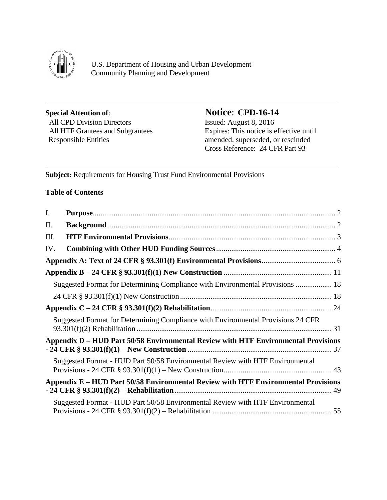

j

 $\overline{\phantom{a}}$ 

U.S. Department of Housing and Urban Development Community Planning and Development

# **Special Attention of:**<br> **Notice: CPD-16-14**<br> **All CPD Division Directors**<br> **Issued: August 8, 2016** All CPD Division Directors

All HTF Grantees and Subgrantees Expires: This notice is effective until<br>Responsible Entities and Subgrantees Expires: This notice is effective until<br>annoted, superseded, or rescinded amended, superseded, or rescinded Cross Reference: 24 CFR Part 93

**Subject:** Requirements for Housing Trust Fund Environmental Provisions

#### **Table of Contents**

| I.  |                                                                                    |  |
|-----|------------------------------------------------------------------------------------|--|
| II. |                                                                                    |  |
| Ш.  |                                                                                    |  |
| IV. |                                                                                    |  |
|     |                                                                                    |  |
|     |                                                                                    |  |
|     | Suggested Format for Determining Compliance with Environmental Provisions  18      |  |
|     |                                                                                    |  |
|     |                                                                                    |  |
|     | Suggested Format for Determining Compliance with Environmental Provisions 24 CFR   |  |
|     | Appendix D – HUD Part 50/58 Environmental Review with HTF Environmental Provisions |  |
|     | Suggested Format - HUD Part 50/58 Environmental Review with HTF Environmental      |  |
|     | Appendix E – HUD Part 50/58 Environmental Review with HTF Environmental Provisions |  |
|     | Suggested Format - HUD Part 50/58 Environmental Review with HTF Environmental      |  |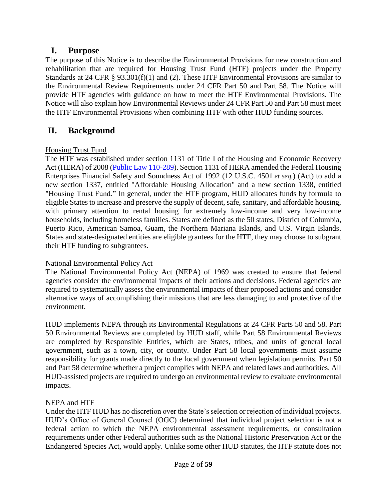## <span id="page-1-0"></span>**I. Purpose**

The purpose of this Notice is to describe the Environmental Provisions for new construction and rehabilitation that are required for Housing Trust Fund (HTF) projects under the Property Standards at 24 CFR § 93.301(f)(1) and (2). These HTF Environmental Provisions are similar to the Environmental Review Requirements under 24 CFR Part 50 and Part 58. The Notice will provide HTF agencies with guidance on how to meet the HTF Environmental Provisions. The Notice will also explain how Environmental Reviews under 24 CFR Part 50 and Part 58 must meet the HTF Environmental Provisions when combining HTF with other HUD funding sources.

## <span id="page-1-1"></span>**II. Background**

#### Housing Trust Fund

The HTF was established under section 1131 of Title I of the Housing and Economic Recovery Act (HERA) of 2008 [\(Public Law 110-289\)](https://www.hudexchange.info/resource/4405/housing-and-economic-recovery-act-of-2008/). Section 1131 of HERA amended the Federal Housing Enterprises Financial Safety and Soundness Act of 1992 (12 U.S.C. 4501 *et seq.*) (Act) to add a new section 1337, entitled "Affordable Housing Allocation" and a new section 1338, entitled "Housing Trust Fund." In general, under the HTF program, HUD allocates funds by formula to eligible States to increase and preserve the supply of decent, safe, sanitary, and affordable housing, with primary attention to rental housing for extremely low-income and very low-income households, including homeless families. States are defined as the 50 states, District of Columbia, Puerto Rico, American Samoa, Guam, the Northern Mariana Islands, and U.S. Virgin Islands. States and state-designated entities are eligible grantees for the HTF, they may choose to subgrant their HTF funding to subgrantees.

#### National Environmental Policy Act

The National Environmental Policy Act (NEPA) of 1969 was created to ensure that federal agencies consider the environmental impacts of their actions and decisions. Federal agencies are required to systematically assess the environmental impacts of their proposed actions and consider alternative ways of accomplishing their missions that are less damaging to and protective of the environment.

HUD implements NEPA through its Environmental Regulations at 24 CFR Parts 50 and 58. Part 50 Environmental Reviews are completed by HUD staff, while Part 58 Environmental Reviews are completed by Responsible Entities, which are States, tribes, and units of general local government, such as a town, city, or county. Under Part 58 local governments must assume responsibility for grants made directly to the local government when legislation permits. Part 50 and Part 58 determine whether a project complies with NEPA and related laws and authorities. All HUD-assisted projects are required to undergo an environmental review to evaluate environmental impacts.

#### NEPA and HTF

Under the HTF HUD has no discretion over the State's selection or rejection of individual projects. HUD's Office of General Counsel (OGC) determined that individual project selection is not a federal action to which the NEPA environmental assessment requirements, or consultation requirements under other Federal authorities such as the National Historic Preservation Act or the Endangered Species Act, would apply. Unlike some other HUD statutes, the HTF statute does not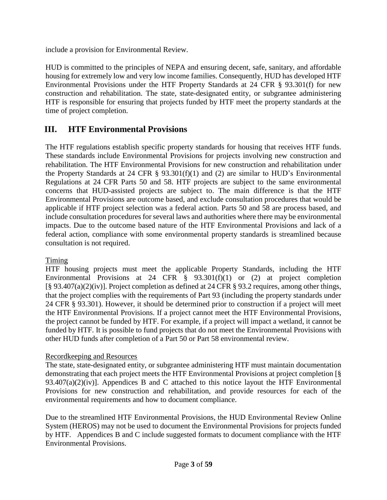include a provision for Environmental Review.

HUD is committed to the principles of NEPA and ensuring decent, safe, sanitary, and affordable housing for extremely low and very low income families. Consequently, HUD has developed HTF Environmental Provisions under the HTF Property Standards at 24 CFR § 93.301(f) for new construction and rehabilitation. The state, state-designated entity, or subgrantee administering HTF is responsible for ensuring that projects funded by HTF meet the property standards at the time of project completion.

## <span id="page-2-0"></span>**III. HTF Environmental Provisions**

The HTF regulations establish specific property standards for housing that receives HTF funds. These standards include Environmental Provisions for projects involving new construction and rehabilitation. The HTF Environmental Provisions for new construction and rehabilitation under the Property Standards at 24 CFR  $\S$  93.301(f)(1) and (2) are similar to HUD's Environmental Regulations at 24 CFR Parts 50 and 58. HTF projects are subject to the same environmental concerns that HUD-assisted projects are subject to. The main difference is that the HTF Environmental Provisions are outcome based, and exclude consultation procedures that would be applicable if HTF project selection was a federal action. Parts 50 and 58 are process based, and include consultation procedures for several laws and authorities where there may be environmental impacts. Due to the outcome based nature of the HTF Environmental Provisions and lack of a federal action, compliance with some environmental property standards is streamlined because consultation is not required.

#### Timing

HTF housing projects must meet the applicable Property Standards, including the HTF Environmental Provisions at 24 CFR  $\S$  93.301(f)(1) or (2) at project completion [§ 93.407(a)(2)(iv)]. Project completion as defined at 24 CFR § 93.2 requires, among other things, that the project complies with the requirements of Part 93 (including the property standards under 24 CFR § 93.301). However, it should be determined prior to construction if a project will meet the HTF Environmental Provisions. If a project cannot meet the HTF Environmental Provisions, the project cannot be funded by HTF. For example, if a project will impact a wetland, it cannot be funded by HTF. It is possible to fund projects that do not meet the Environmental Provisions with other HUD funds after completion of a Part 50 or Part 58 environmental review.

#### Recordkeeping and Resources

The state, state-designated entity, or subgrantee administering HTF must maintain documentation demonstrating that each project meets the HTF Environmental Provisions at project completion [§ 93.407(a)(2)(iv)]. Appendices B and C attached to this notice layout the HTF Environmental Provisions for new construction and rehabilitation, and provide resources for each of the environmental requirements and how to document compliance.

Due to the streamlined HTF Environmental Provisions, the HUD Environmental Review Online System (HEROS) may not be used to document the Environmental Provisions for projects funded by HTF. Appendices B and C include suggested formats to document compliance with the HTF Environmental Provisions.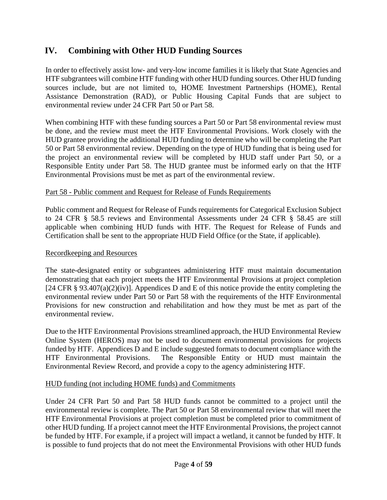## <span id="page-3-0"></span>**IV. Combining with Other HUD Funding Sources**

In order to effectively assist low- and very-low income families it is likely that State Agencies and HTF subgrantees will combine HTF funding with other HUD funding sources. Other HUD funding sources include, but are not limited to, HOME Investment Partnerships (HOME), Rental Assistance Demonstration (RAD), or Public Housing Capital Funds that are subject to environmental review under 24 CFR Part 50 or Part 58.

When combining HTF with these funding sources a Part 50 or Part 58 environmental review must be done, and the review must meet the HTF Environmental Provisions. Work closely with the HUD grantee providing the additional HUD funding to determine who will be completing the Part 50 or Part 58 environmental review. Depending on the type of HUD funding that is being used for the project an environmental review will be completed by HUD staff under Part 50, or a Responsible Entity under Part 58. The HUD grantee must be informed early on that the HTF Environmental Provisions must be met as part of the environmental review.

#### Part 58 - Public comment and Request for Release of Funds Requirements

Public comment and Request for Release of Funds requirements for Categorical Exclusion Subject to 24 CFR § 58.5 reviews and Environmental Assessments under 24 CFR § 58.45 are still applicable when combining HUD funds with HTF. The Request for Release of Funds and Certification shall be sent to the appropriate HUD Field Office (or the State, if applicable).

#### Recordkeeping and Resources

The state-designated entity or subgrantees administering HTF must maintain documentation demonstrating that each project meets the HTF Environmental Provisions at project completion [24 CFR § 93.407(a)(2)(iv)]. Appendices D and E of this notice provide the entity completing the environmental review under Part 50 or Part 58 with the requirements of the HTF Environmental Provisions for new construction and rehabilitation and how they must be met as part of the environmental review.

Due to the HTF Environmental Provisions streamlined approach, the HUD Environmental Review Online System (HEROS) may not be used to document environmental provisions for projects funded by HTF. Appendices D and E include suggested formats to document compliance with the HTF Environmental Provisions. The Responsible Entity or HUD must maintain the Environmental Review Record, and provide a copy to the agency administering HTF.

#### HUD funding (not including HOME funds) and Commitments

Under 24 CFR Part 50 and Part 58 HUD funds cannot be committed to a project until the environmental review is complete. The Part 50 or Part 58 environmental review that will meet the HTF Environmental Provisions at project completion must be completed prior to commitment of other HUD funding. If a project cannot meet the HTF Environmental Provisions, the project cannot be funded by HTF. For example, if a project will impact a wetland, it cannot be funded by HTF. It is possible to fund projects that do not meet the Environmental Provisions with other HUD funds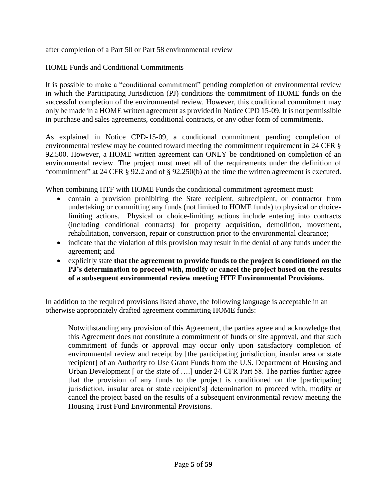after completion of a Part 50 or Part 58 environmental review

#### HOME Funds and Conditional Commitments

It is possible to make a "conditional commitment" pending completion of environmental review in which the Participating Jurisdiction (PJ) conditions the commitment of HOME funds on the successful completion of the environmental review. However, this conditional commitment may only be made in a HOME written agreement as provided in Notice CPD 15-09. It is not permissible in purchase and sales agreements, conditional contracts, or any other form of commitments.

As explained in Notice CPD-15-09, a conditional commitment pending completion of environmental review may be counted toward meeting the commitment requirement in 24 CFR § 92.500. However, a HOME written agreement can ONLY be conditioned on completion of an environmental review. The project must meet all of the requirements under the definition of "commitment" at 24 CFR § 92.2 and of § 92.250(b) at the time the written agreement is executed.

When combining HTF with HOME Funds the conditional commitment agreement must:

- contain a provision prohibiting the State recipient, subrecipient, or contractor from undertaking or committing any funds (not limited to HOME funds) to physical or choicelimiting actions. Physical or choice-limiting actions include entering into contracts (including conditional contracts) for property acquisition, demolition, movement, rehabilitation, conversion, repair or construction prior to the environmental clearance;
- indicate that the violation of this provision may result in the denial of any funds under the agreement; and
- explicitly state **that the agreement to provide funds to the project is conditioned on the PJ's determination to proceed with, modify or cancel the project based on the results of a subsequent environmental review meeting HTF Environmental Provisions.**

In addition to the required provisions listed above, the following language is acceptable in an otherwise appropriately drafted agreement committing HOME funds:

Notwithstanding any provision of this Agreement, the parties agree and acknowledge that this Agreement does not constitute a commitment of funds or site approval, and that such commitment of funds or approval may occur only upon satisfactory completion of environmental review and receipt by [the participating jurisdiction, insular area or state recipient] of an Authority to Use Grant Funds from the U.S. Department of Housing and Urban Development [ or the state of ....] under 24 CFR Part 58. The parties further agree that the provision of any funds to the project is conditioned on the [participating jurisdiction, insular area or state recipient's] determination to proceed with, modify or cancel the project based on the results of a subsequent environmental review meeting the Housing Trust Fund Environmental Provisions.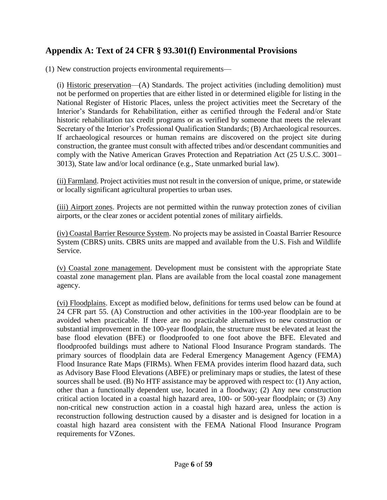## <span id="page-5-0"></span>**Appendix A: Text of 24 CFR § 93.301(f) Environmental Provisions**

(1) New construction projects environmental requirements—

(i) Historic preservation—(A) Standards. The project activities (including demolition) must not be performed on properties that are either listed in or determined eligible for listing in the National Register of Historic Places, unless the project activities meet the Secretary of the Interior's Standards for Rehabilitation, either as certified through the Federal and/or State historic rehabilitation tax credit programs or as verified by someone that meets the relevant Secretary of the Interior's Professional Qualification Standards; (B) Archaeological resources. If archaeological resources or human remains are discovered on the project site during construction, the grantee must consult with affected tribes and/or descendant communities and comply with the Native American Graves Protection and Repatriation Act (25 U.S.C. 3001– 3013), State law and/or local ordinance (e.g., State unmarked burial law).

(ii) Farmland. Project activities must not result in the conversion of unique, prime, or statewide or locally significant agricultural properties to urban uses.

(iii) Airport zones. Projects are not permitted within the runway protection zones of civilian airports, or the clear zones or accident potential zones of military airfields.

(iv) Coastal Barrier Resource System. No projects may be assisted in Coastal Barrier Resource System (CBRS) units. CBRS units are mapped and available from the U.S. Fish and Wildlife Service.

(v) Coastal zone management. Development must be consistent with the appropriate State coastal zone management plan. Plans are available from the local coastal zone management agency.

(vi) Floodplains. Except as modified below, definitions for terms used below can be found at 24 CFR part 55. (A) Construction and other activities in the 100-year floodplain are to be avoided when practicable. If there are no practicable alternatives to new construction or substantial improvement in the 100-year floodplain, the structure must be elevated at least the base flood elevation (BFE) or floodproofed to one foot above the BFE. Elevated and floodproofed buildings must adhere to National Flood Insurance Program standards. The primary sources of floodplain data are Federal Emergency Management Agency (FEMA) Flood Insurance Rate Maps (FIRMs). When FEMA provides interim flood hazard data, such as Advisory Base Flood Elevations (ABFE) or preliminary maps or studies, the latest of these sources shall be used. (B) No HTF assistance may be approved with respect to: (1) Any action, other than a functionally dependent use, located in a floodway; (2) Any new construction critical action located in a coastal high hazard area, 100- or 500-year floodplain; or (3) Any non-critical new construction action in a coastal high hazard area, unless the action is reconstruction following destruction caused by a disaster and is designed for location in a coastal high hazard area consistent with the FEMA National Flood Insurance Program requirements for VZones.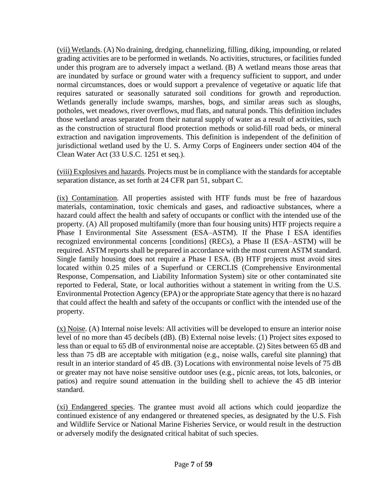(vii) Wetlands. (A) No draining, dredging, channelizing, filling, diking, impounding, or related grading activities are to be performed in wetlands. No activities, structures, or facilities funded under this program are to adversely impact a wetland. (B) A wetland means those areas that are inundated by surface or ground water with a frequency sufficient to support, and under normal circumstances, does or would support a prevalence of vegetative or aquatic life that requires saturated or seasonally saturated soil conditions for growth and reproduction. Wetlands generally include swamps, marshes, bogs, and similar areas such as sloughs, potholes, wet meadows, river overflows, mud flats, and natural ponds. This definition includes those wetland areas separated from their natural supply of water as a result of activities, such as the construction of structural flood protection methods or solid-fill road beds, or mineral extraction and navigation improvements. This definition is independent of the definition of jurisdictional wetland used by the U. S. Army Corps of Engineers under section 404 of the Clean Water Act (33 U.S.C. 1251 et seq.).

(viii) Explosives and hazards. Projects must be in compliance with the standards for acceptable separation distance, as set forth at 24 CFR part 51, subpart C.

(ix) Contamination. All properties assisted with HTF funds must be free of hazardous materials, contamination, toxic chemicals and gases, and radioactive substances, where a hazard could affect the health and safety of occupants or conflict with the intended use of the property. (A) All proposed multifamily (more than four housing units) HTF projects require a Phase I Environmental Site Assessment (ESA–ASTM). If the Phase I ESA identifies recognized environmental concerns [conditions] (RECs), a Phase II (ESA–ASTM) will be required. ASTM reports shall be prepared in accordance with the most current ASTM standard. Single family housing does not require a Phase I ESA. (B) HTF projects must avoid sites located within 0.25 miles of a Superfund or CERCLIS (Comprehensive Environmental Response, Compensation, and Liability Information System) site or other contaminated site reported to Federal, State, or local authorities without a statement in writing from the U.S. Environmental Protection Agency (EPA) or the appropriate State agency that there is no hazard that could affect the health and safety of the occupants or conflict with the intended use of the property.

(x) Noise. (A) Internal noise levels: All activities will be developed to ensure an interior noise level of no more than 45 decibels (dB). (B) External noise levels: (1) Project sites exposed to less than or equal to 65 dB of environmental noise are acceptable. (2) Sites between 65 dB and less than 75 dB are acceptable with mitigation (e.g., noise walls, careful site planning) that result in an interior standard of 45 dB. (3) Locations with environmental noise levels of 75 dB or greater may not have noise sensitive outdoor uses (e.g., picnic areas, tot lots, balconies, or patios) and require sound attenuation in the building shell to achieve the 45 dB interior standard.

(xi) Endangered species. The grantee must avoid all actions which could jeopardize the continued existence of any endangered or threatened species, as designated by the U.S. Fish and Wildlife Service or National Marine Fisheries Service, or would result in the destruction or adversely modify the designated critical habitat of such species.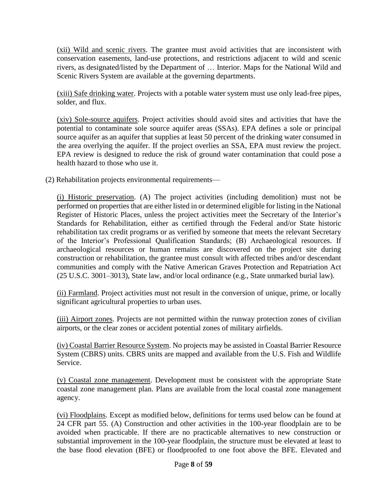(xii) Wild and scenic rivers. The grantee must avoid activities that are inconsistent with conservation easements, land-use protections, and restrictions adjacent to wild and scenic rivers, as designated/listed by the Department of … Interior. Maps for the National Wild and Scenic Rivers System are available at the governing departments.

(xiii) Safe drinking water. Projects with a potable water system must use only lead-free pipes, solder, and flux.

(xiv) Sole-source aquifers. Project activities should avoid sites and activities that have the potential to contaminate sole source aquifer areas (SSAs). EPA defines a sole or principal source aquifer as an aquifer that supplies at least 50 percent of the drinking water consumed in the area overlying the aquifer. If the project overlies an SSA, EPA must review the project. EPA review is designed to reduce the risk of ground water contamination that could pose a health hazard to those who use it.

(2) Rehabilitation projects environmental requirements—

(i) Historic preservation. (A) The project activities (including demolition) must not be performed on properties that are either listed in or determined eligible for listing in the National Register of Historic Places, unless the project activities meet the Secretary of the Interior's Standards for Rehabilitation, either as certified through the Federal and/or State historic rehabilitation tax credit programs or as verified by someone that meets the relevant Secretary of the Interior's Professional Qualification Standards; (B) Archaeological resources. If archaeological resources or human remains are discovered on the project site during construction or rehabilitation, the grantee must consult with affected tribes and/or descendant communities and comply with the Native American Graves Protection and Repatriation Act (25 U.S.C. 3001–3013), State law, and/or local ordinance (e.g., State unmarked burial law).

(ii) Farmland. Project activities must not result in the conversion of unique, prime, or locally significant agricultural properties to urban uses.

(iii) Airport zones. Projects are not permitted within the runway protection zones of civilian airports, or the clear zones or accident potential zones of military airfields.

(iv) Coastal Barrier Resource System. No projects may be assisted in Coastal Barrier Resource System (CBRS) units. CBRS units are mapped and available from the U.S. Fish and Wildlife Service.

(v) Coastal zone management. Development must be consistent with the appropriate State coastal zone management plan. Plans are available from the local coastal zone management agency.

(vi) Floodplains. Except as modified below, definitions for terms used below can be found at 24 CFR part 55. (A) Construction and other activities in the 100-year floodplain are to be avoided when practicable. If there are no practicable alternatives to new construction or substantial improvement in the 100-year floodplain, the structure must be elevated at least to the base flood elevation (BFE) or floodproofed to one foot above the BFE. Elevated and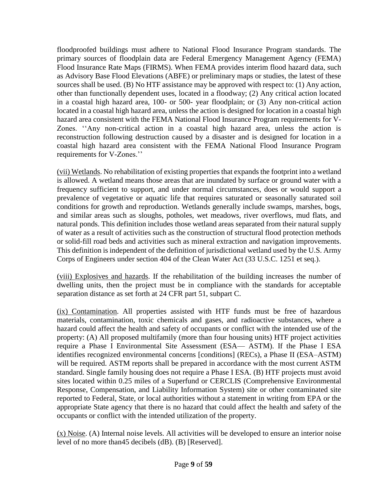floodproofed buildings must adhere to National Flood Insurance Program standards. The primary sources of floodplain data are Federal Emergency Management Agency (FEMA) Flood Insurance Rate Maps (FIRMS). When FEMA provides interim flood hazard data, such as Advisory Base Flood Elevations (ABFE) or preliminary maps or studies, the latest of these sources shall be used. (B) No HTF assistance may be approved with respect to: (1) Any action, other than functionally dependent uses, located in a floodway; (2) Any critical action located in a coastal high hazard area, 100- or 500- year floodplain; or (3) Any non-critical action located in a coastal high hazard area, unless the action is designed for location in a coastal high hazard area consistent with the FEMA National Flood Insurance Program requirements for V-Zones. ''Any non-critical action in a coastal high hazard area, unless the action is reconstruction following destruction caused by a disaster and is designed for location in a coastal high hazard area consistent with the FEMA National Flood Insurance Program requirements for V-Zones.''

(vii) Wetlands. No rehabilitation of existing properties that expands the footprint into a wetland is allowed. A wetland means those areas that are inundated by surface or ground water with a frequency sufficient to support, and under normal circumstances, does or would support a prevalence of vegetative or aquatic life that requires saturated or seasonally saturated soil conditions for growth and reproduction. Wetlands generally include swamps, marshes, bogs, and similar areas such as sloughs, potholes, wet meadows, river overflows, mud flats, and natural ponds. This definition includes those wetland areas separated from their natural supply of water as a result of activities such as the construction of structural flood protection methods or solid-fill road beds and activities such as mineral extraction and navigation improvements. This definition is independent of the definition of jurisdictional wetland used by the U.S. Army Corps of Engineers under section 404 of the Clean Water Act (33 U.S.C. 1251 et seq.).

(viii) Explosives and hazards. If the rehabilitation of the building increases the number of dwelling units, then the project must be in compliance with the standards for acceptable separation distance as set forth at 24 CFR part 51, subpart C.

(ix) Contamination. All properties assisted with HTF funds must be free of hazardous materials, contamination, toxic chemicals and gases, and radioactive substances, where a hazard could affect the health and safety of occupants or conflict with the intended use of the property: (A) All proposed multifamily (more than four housing units) HTF project activities require a Phase I Environmental Site Assessment (ESA— ASTM). If the Phase I ESA identifies recognized environmental concerns [conditions] (RECs), a Phase II (ESA–ASTM) will be required. ASTM reports shall be prepared in accordance with the most current ASTM standard. Single family housing does not require a Phase I ESA. (B) HTF projects must avoid sites located within 0.25 miles of a Superfund or CERCLIS (Comprehensive Environmental Response, Compensation, and Liability Information System) site or other contaminated site reported to Federal, State, or local authorities without a statement in writing from EPA or the appropriate State agency that there is no hazard that could affect the health and safety of the occupants or conflict with the intended utilization of the property.

(x) Noise. (A) Internal noise levels. All activities will be developed to ensure an interior noise level of no more than45 decibels (dB). (B) [Reserved].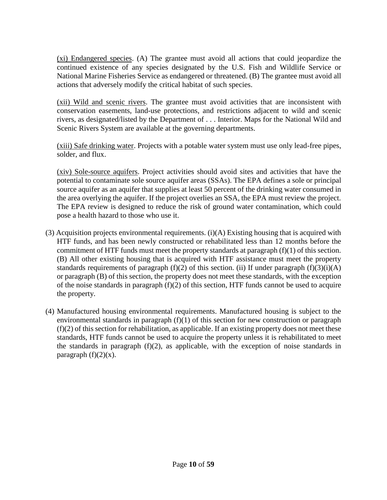(xi) Endangered species. (A) The grantee must avoid all actions that could jeopardize the continued existence of any species designated by the U.S. Fish and Wildlife Service or National Marine Fisheries Service as endangered or threatened. (B) The grantee must avoid all actions that adversely modify the critical habitat of such species.

(xii) Wild and scenic rivers. The grantee must avoid activities that are inconsistent with conservation easements, land-use protections, and restrictions adjacent to wild and scenic rivers, as designated/listed by the Department of . . . Interior. Maps for the National Wild and Scenic Rivers System are available at the governing departments.

(xiii) Safe drinking water. Projects with a potable water system must use only lead-free pipes, solder, and flux.

(xiv) Sole-source aquifers. Project activities should avoid sites and activities that have the potential to contaminate sole source aquifer areas (SSAs). The EPA defines a sole or principal source aquifer as an aquifer that supplies at least 50 percent of the drinking water consumed in the area overlying the aquifer. If the project overlies an SSA, the EPA must review the project. The EPA review is designed to reduce the risk of ground water contamination, which could pose a health hazard to those who use it.

- (3) Acquisition projects environmental requirements.  $(i)(A)$  Existing housing that is acquired with HTF funds, and has been newly constructed or rehabilitated less than 12 months before the commitment of HTF funds must meet the property standards at paragraph (f)(1) of this section. (B) All other existing housing that is acquired with HTF assistance must meet the property standards requirements of paragraph  $(f)(2)$  of this section. (ii) If under paragraph  $(f)(3)(i)(A)$ or paragraph (B) of this section, the property does not meet these standards, with the exception of the noise standards in paragraph  $(f)(2)$  of this section, HTF funds cannot be used to acquire the property.
- (4) Manufactured housing environmental requirements. Manufactured housing is subject to the environmental standards in paragraph  $(f)(1)$  of this section for new construction or paragraph  $(f)(2)$  of this section for rehabilitation, as applicable. If an existing property does not meet these standards, HTF funds cannot be used to acquire the property unless it is rehabilitated to meet the standards in paragraph (f)(2), as applicable, with the exception of noise standards in paragraph  $(f)(2)(x)$ .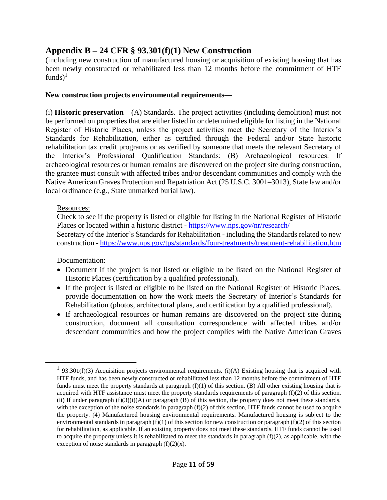## <span id="page-10-0"></span>**Appendix B – 24 CFR § 93.301(f)(1) New Construction**

(including new construction of manufactured housing or acquisition of existing housing that has been newly constructed or rehabilitated less than 12 months before the commitment of HTF funds) $<sup>1</sup>$ </sup>

#### **New construction projects environmental requirements—**

(i) **Historic preservation**—(A) Standards. The project activities (including demolition) must not be performed on properties that are either listed in or determined eligible for listing in the National Register of Historic Places, unless the project activities meet the Secretary of the Interior's Standards for Rehabilitation, either as certified through the Federal and/or State historic rehabilitation tax credit programs or as verified by someone that meets the relevant Secretary of the Interior's Professional Qualification Standards; (B) Archaeological resources. If archaeological resources or human remains are discovered on the project site during construction, the grantee must consult with affected tribes and/or descendant communities and comply with the Native American Graves Protection and Repatriation Act (25 U.S.C. 3001–3013), State law and/or local ordinance (e.g., State unmarked burial law).

#### Resources:

Check to see if the property is listed or eligible for listing in the National Register of Historic Places or located within a historic district - <https://www.nps.gov/nr/research/> Secretary of the Interior's Standards for Rehabilitation - including the Standards related to new

construction - <https://www.nps.gov/tps/standards/four-treatments/treatment-rehabilitation.htm>

Documentation:

 $\overline{a}$ 

- Document if the project is not listed or eligible to be listed on the National Register of Historic Places (certification by a qualified professional).
- If the project is listed or eligible to be listed on the National Register of Historic Places, provide documentation on how the work meets the Secretary of Interior's Standards for Rehabilitation (photos, architectural plans, and certification by a qualified professional).
- If archaeological resources or human remains are discovered on the project site during construction, document all consultation correspondence with affected tribes and/or descendant communities and how the project complies with the Native American Graves

<sup>&</sup>lt;sup>1</sup> 93.301(f)(3) Acquisition projects environmental requirements. (i)(A) Existing housing that is acquired with HTF funds, and has been newly constructed or rehabilitated less than 12 months before the commitment of HTF funds must meet the property standards at paragraph  $(f)(1)$  of this section. (B) All other existing housing that is acquired with HTF assistance must meet the property standards requirements of paragraph (f)(2) of this section. (ii) If under paragraph  $(f)(3)(i)(A)$  or paragraph  $(B)$  of this section, the property does not meet these standards, with the exception of the noise standards in paragraph  $(f)(2)$  of this section, HTF funds cannot be used to acquire the property. (4) Manufactured housing environmental requirements. Manufactured housing is subject to the environmental standards in paragraph  $(f)(1)$  of this section for new construction or paragraph  $(f)(2)$  of this section for rehabilitation, as applicable. If an existing property does not meet these standards, HTF funds cannot be used to acquire the property unless it is rehabilitated to meet the standards in paragraph  $(f)(2)$ , as applicable, with the exception of noise standards in paragraph  $(f)(2)(x)$ .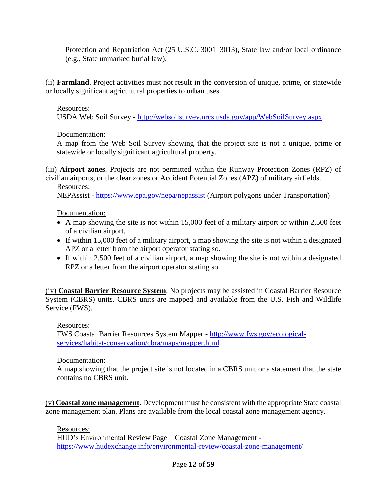Protection and Repatriation Act (25 U.S.C. 3001–3013), State law and/or local ordinance (e.g., State unmarked burial law).

(ii) **Farmland**. Project activities must not result in the conversion of unique, prime, or statewide or locally significant agricultural properties to urban uses.

#### Resources:

USDA Web Soil Survey - <http://websoilsurvey.nrcs.usda.gov/app/WebSoilSurvey.aspx>

#### Documentation:

A map from the Web Soil Survey showing that the project site is not a unique, prime or statewide or locally significant agricultural property.

(iii) **Airport zones**. Projects are not permitted within the Runway Protection Zones (RPZ) of civilian airports, or the clear zones or Accident Potential Zones (APZ) of military airfields.

Resources:

NEPAssist - <https://www.epa.gov/nepa/nepassist> (Airport polygons under Transportation)

#### Documentation:

- A map showing the site is not within 15,000 feet of a military airport or within 2,500 feet of a civilian airport.
- If within 15,000 feet of a military airport, a map showing the site is not within a designated APZ or a letter from the airport operator stating so.
- If within 2,500 feet of a civilian airport, a map showing the site is not within a designated RPZ or a letter from the airport operator stating so.

(iv) **Coastal Barrier Resource System**. No projects may be assisted in Coastal Barrier Resource System (CBRS) units. CBRS units are mapped and available from the U.S. Fish and Wildlife Service (FWS).

Resources:

FWS Coastal Barrier Resources System Mapper - [http://www.fws.gov/ecological](http://www.fws.gov/ecological-services/habitat-conservation/cbra/maps/mapper.html)[services/habitat-conservation/cbra/maps/mapper.html](http://www.fws.gov/ecological-services/habitat-conservation/cbra/maps/mapper.html)

#### Documentation:

A map showing that the project site is not located in a CBRS unit or a statement that the state contains no CBRS unit.

(v) **Coastal zone management**. Development must be consistent with the appropriate State coastal zone management plan. Plans are available from the local coastal zone management agency.

Resources:

HUD's Environmental Review Page – Coastal Zone Management <https://www.hudexchange.info/environmental-review/coastal-zone-management/>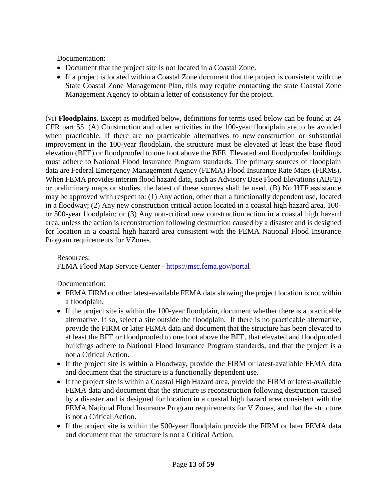Documentation:

- Document that the project site is not located in a Coastal Zone.
- If a project is located within a Coastal Zone document that the project is consistent with the State Coastal Zone Management Plan, this may require contacting the state Coastal Zone Management Agency to obtain a letter of consistency for the project.

(vi) **Floodplains**. Except as modified below, definitions for terms used below can be found at 24 CFR part 55. (A) Construction and other activities in the 100-year floodplain are to be avoided when practicable. If there are no practicable alternatives to new construction or substantial improvement in the 100-year floodplain, the structure must be elevated at least the base flood elevation (BFE) or floodproofed to one foot above the BFE. Elevated and floodproofed buildings must adhere to National Flood Insurance Program standards. The primary sources of floodplain data are Federal Emergency Management Agency (FEMA) Flood Insurance Rate Maps (FIRMs). When FEMA provides interim flood hazard data, such as Advisory Base Flood Elevations (ABFE) or preliminary maps or studies, the latest of these sources shall be used. (B) No HTF assistance may be approved with respect to: (1) Any action, other than a functionally dependent use, located in a floodway; (2) Any new construction critical action located in a coastal high hazard area, 100 or 500-year floodplain; or (3) Any non-critical new construction action in a coastal high hazard area, unless the action is reconstruction following destruction caused by a disaster and is designed for location in a coastal high hazard area consistent with the FEMA National Flood Insurance Program requirements for VZones.

#### Resources: FEMA Flood Map Service Center - <https://msc.fema.gov/portal>

Documentation:

- FEMA FIRM or other latest-available FEMA data showing the project location is not within a floodplain.
- If the project site is within the 100-year floodplain, document whether there is a practicable alternative. If so, select a site outside the floodplain. If there is no practicable alternative, provide the FIRM or later FEMA data and document that the structure has been elevated to at least the BFE or floodproofed to one foot above the BFE, that elevated and floodproofed buildings adhere to National Flood Insurance Program standards, and that the project is a not a Critical Action.
- If the project site is within a Floodway, provide the FIRM or latest-available FEMA data and document that the structure is a functionally dependent use.
- If the project site is within a Coastal High Hazard area, provide the FIRM or latest-available FEMA data and document that the structure is reconstruction following destruction caused by a disaster and is designed for location in a coastal high hazard area consistent with the FEMA National Flood Insurance Program requirements for V Zones, and that the structure is not a Critical Action.
- If the project site is within the 500-year floodplain provide the FIRM or later FEMA data and document that the structure is not a Critical Action.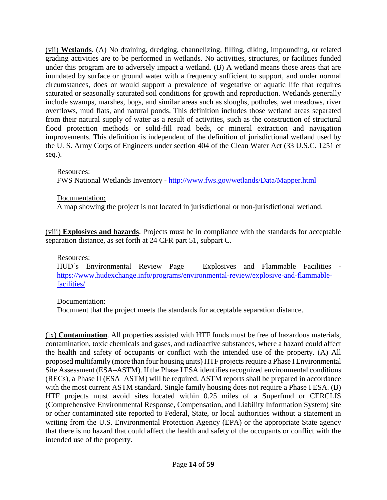(vii) **Wetlands**. (A) No draining, dredging, channelizing, filling, diking, impounding, or related grading activities are to be performed in wetlands. No activities, structures, or facilities funded under this program are to adversely impact a wetland. (B) A wetland means those areas that are inundated by surface or ground water with a frequency sufficient to support, and under normal circumstances, does or would support a prevalence of vegetative or aquatic life that requires saturated or seasonally saturated soil conditions for growth and reproduction. Wetlands generally include swamps, marshes, bogs, and similar areas such as sloughs, potholes, wet meadows, river overflows, mud flats, and natural ponds. This definition includes those wetland areas separated from their natural supply of water as a result of activities, such as the construction of structural flood protection methods or solid-fill road beds, or mineral extraction and navigation improvements. This definition is independent of the definition of jurisdictional wetland used by the U. S. Army Corps of Engineers under section 404 of the Clean Water Act (33 U.S.C. 1251 et seq.).

#### Resources:

FWS National Wetlands Inventory - <http://www.fws.gov/wetlands/Data/Mapper.html>

#### Documentation:

A map showing the project is not located in jurisdictional or non-jurisdictional wetland.

(viii) **Explosives and hazards**. Projects must be in compliance with the standards for acceptable separation distance, as set forth at 24 CFR part 51, subpart C.

#### Resources:

HUD's Environmental Review Page – Explosives and Flammable Facilities [https://www.hudexchange.info/programs/environmental-review/explosive-and-flammable](https://www.hudexchange.info/programs/environmental-review/explosive-and-flammable-facilities/)[facilities/](https://www.hudexchange.info/programs/environmental-review/explosive-and-flammable-facilities/)

#### Documentation:

Document that the project meets the standards for acceptable separation distance.

(ix) **Contamination**. All properties assisted with HTF funds must be free of hazardous materials, contamination, toxic chemicals and gases, and radioactive substances, where a hazard could affect the health and safety of occupants or conflict with the intended use of the property. (A) All proposed multifamily (more than four housing units) HTF projects require a Phase I Environmental Site Assessment (ESA–ASTM). If the Phase I ESA identifies recognized environmental conditions (RECs), a Phase II (ESA–ASTM) will be required. ASTM reports shall be prepared in accordance with the most current ASTM standard. Single family housing does not require a Phase I ESA. (B) HTF projects must avoid sites located within 0.25 miles of a Superfund or CERCLIS (Comprehensive Environmental Response, Compensation, and Liability Information System) site or other contaminated site reported to Federal, State, or local authorities without a statement in writing from the U.S. Environmental Protection Agency (EPA) or the appropriate State agency that there is no hazard that could affect the health and safety of the occupants or conflict with the intended use of the property.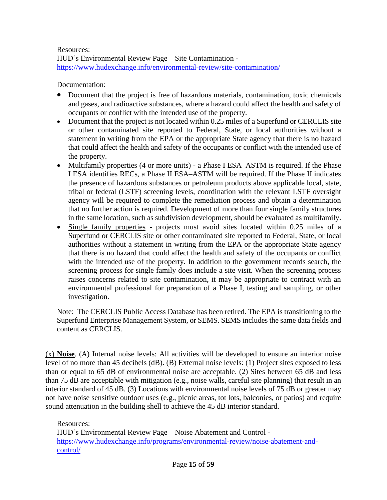Resources: HUD's Environmental Review Page – Site Contamination <https://www.hudexchange.info/environmental-review/site-contamination/>

Documentation:

- Document that the project is free of hazardous materials, contamination, toxic chemicals and gases, and radioactive substances, where a hazard could affect the health and safety of occupants or conflict with the intended use of the property.
- Document that the project is not located within 0.25 miles of a Superfund or CERCLIS site or other contaminated site reported to Federal, State, or local authorities without a statement in writing from the EPA or the appropriate State agency that there is no hazard that could affect the health and safety of the occupants or conflict with the intended use of the property.
- Multifamily properties (4 or more units) a Phase I ESA–ASTM is required. If the Phase I ESA identifies RECs, a Phase II ESA–ASTM will be required. If the Phase II indicates the presence of hazardous substances or petroleum products above applicable local, state, tribal or federal (LSTF) screening levels, coordination with the relevant LSTF oversight agency will be required to complete the remediation process and obtain a determination that no further action is required. Development of more than four single family structures in the same location, such as subdivision development, should be evaluated as multifamily.
- Single family properties projects must avoid sites located within 0.25 miles of a Superfund or CERCLIS site or other contaminated site reported to Federal, State, or local authorities without a statement in writing from the EPA or the appropriate State agency that there is no hazard that could affect the health and safety of the occupants or conflict with the intended use of the property. In addition to the government records search, the screening process for single family does include a site visit. When the screening process raises concerns related to site contamination, it may be appropriate to contract with an environmental professional for preparation of a Phase I, testing and sampling, or other investigation.

Note: The CERCLIS Public Access Database has been retired. The EPA is transitioning to the Superfund Enterprise Management System, or SEMS. SEMS includes the same data fields and content as CERCLIS.

(x) **Noise**. (A) Internal noise levels: All activities will be developed to ensure an interior noise level of no more than 45 decibels (dB). (B) External noise levels: (1) Project sites exposed to less than or equal to 65 dB of environmental noise are acceptable. (2) Sites between 65 dB and less than 75 dB are acceptable with mitigation (e.g., noise walls, careful site planning) that result in an interior standard of 45 dB. (3) Locations with environmental noise levels of 75 dB or greater may not have noise sensitive outdoor uses (e.g., picnic areas, tot lots, balconies, or patios) and require sound attenuation in the building shell to achieve the 45 dB interior standard.

Resources:

HUD's Environmental Review Page – Noise Abatement and Control [https://www.hudexchange.info/programs/environmental-review/noise-abatement-and](https://www.hudexchange.info/programs/environmental-review/noise-abatement-and-control/)[control/](https://www.hudexchange.info/programs/environmental-review/noise-abatement-and-control/)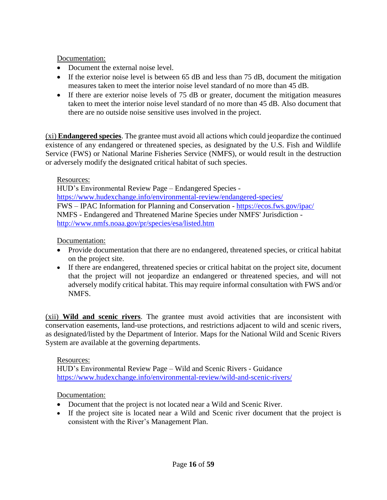Documentation:

- Document the external noise level.
- If the exterior noise level is between 65 dB and less than 75 dB, document the mitigation measures taken to meet the interior noise level standard of no more than 45 dB.
- If there are exterior noise levels of 75 dB or greater, document the mitigation measures taken to meet the interior noise level standard of no more than 45 dB. Also document that there are no outside noise sensitive uses involved in the project.

(xi) **Endangered species**. The grantee must avoid all actions which could jeopardize the continued existence of any endangered or threatened species, as designated by the U.S. Fish and Wildlife Service (FWS) or National Marine Fisheries Service (NMFS), or would result in the destruction or adversely modify the designated critical habitat of such species.

Resources:

HUD's Environmental Review Page – Endangered Species <https://www.hudexchange.info/environmental-review/endangered-species/> FWS – IPAC [Information for Planning and Conservation](https://ecos.fws.gov/ipac/) - <https://ecos.fws.gov/ipac/> NMFS - Endangered and Threatened Marine Species under NMFS' Jurisdiction <http://www.nmfs.noaa.gov/pr/species/esa/listed.htm>

Documentation:

- Provide documentation that there are no endangered, threatened species, or critical habitat on the project site.
- If there are endangered, threatened species or critical habitat on the project site, document that the project will not jeopardize an endangered or threatened species, and will not adversely modify critical habitat. This may require informal consultation with FWS and/or NMFS.

(xii) **Wild and scenic rivers**. The grantee must avoid activities that are inconsistent with conservation easements, land-use protections, and restrictions adjacent to wild and scenic rivers, as designated/listed by the Department of Interior. Maps for the National Wild and Scenic Rivers System are available at the governing departments.

#### Resources:

HUD's Environmental Review Page – Wild and Scenic Rivers - Guidance <https://www.hudexchange.info/environmental-review/wild-and-scenic-rivers/>

#### Documentation:

- Document that the project is not located near a Wild and Scenic River.
- If the project site is located near a Wild and Scenic river document that the project is consistent with the River's Management Plan.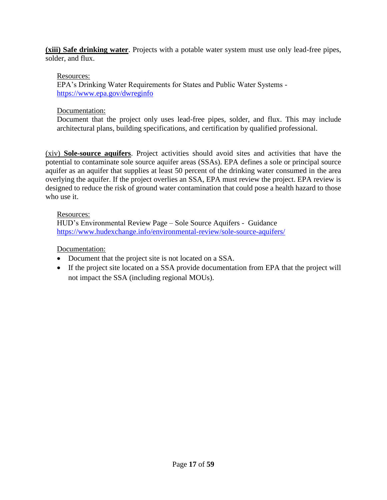**(xiii) Safe drinking water**. Projects with a potable water system must use only lead-free pipes, solder, and flux.

#### Resources:

EPA's Drinking Water Requirements for States and Public Water Systems <https://www.epa.gov/dwreginfo>

### Documentation:

Document that the project only uses lead-free pipes, solder, and flux. This may include architectural plans, building specifications, and certification by qualified professional.

(xiv) **Sole-source aquifers**. Project activities should avoid sites and activities that have the potential to contaminate sole source aquifer areas (SSAs). EPA defines a sole or principal source aquifer as an aquifer that supplies at least 50 percent of the drinking water consumed in the area overlying the aquifer. If the project overlies an SSA, EPA must review the project. EPA review is designed to reduce the risk of ground water contamination that could pose a health hazard to those who use it.

#### Resources:

HUD's Environmental Review Page – Sole Source Aquifers - Guidance <https://www.hudexchange.info/environmental-review/sole-source-aquifers/>

## Documentation:

- Document that the project site is not located on a SSA.
- If the project site located on a SSA provide documentation from EPA that the project will not impact the SSA (including regional MOUs).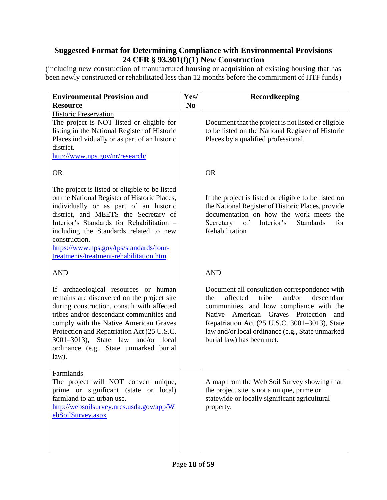## <span id="page-17-0"></span>**Suggested Format for Determining Compliance with Environmental Provisions 24 CFR § 93.301(f)(1) New Construction**

<span id="page-17-1"></span>(including new construction of manufactured housing or acquisition of existing housing that has been newly constructed or rehabilitated less than 12 months before the commitment of HTF funds)

| <b>Environmental Provision and</b><br><b>Resource</b>                                                                                                                                                                                                                                                                                                                          | Yes/<br>N <sub>0</sub> | Recordkeeping                                                                                                                                                                                                                                                                                                                  |
|--------------------------------------------------------------------------------------------------------------------------------------------------------------------------------------------------------------------------------------------------------------------------------------------------------------------------------------------------------------------------------|------------------------|--------------------------------------------------------------------------------------------------------------------------------------------------------------------------------------------------------------------------------------------------------------------------------------------------------------------------------|
| <b>Historic Preservation</b><br>The project is NOT listed or eligible for<br>listing in the National Register of Historic<br>Places individually or as part of an historic<br>district.<br>http://www.nps.gov/nr/research/                                                                                                                                                     |                        | Document that the project is not listed or eligible<br>to be listed on the National Register of Historic<br>Places by a qualified professional.                                                                                                                                                                                |
| <b>OR</b>                                                                                                                                                                                                                                                                                                                                                                      |                        | <b>OR</b>                                                                                                                                                                                                                                                                                                                      |
| The project is listed or eligible to be listed<br>on the National Register of Historic Places,<br>individually or as part of an historic<br>district, and MEETS the Secretary of<br>Interior's Standards for Rehabilitation -<br>including the Standards related to new<br>construction.<br>https://www.nps.gov/tps/standards/four-<br>treatments/treatment-rehabilitation.htm |                        | If the project is listed or eligible to be listed on<br>the National Register of Historic Places, provide<br>documentation on how the work meets the<br>for<br>Secretary<br>of<br>Interior's<br>Standards<br>Rehabilitation                                                                                                    |
| <b>AND</b>                                                                                                                                                                                                                                                                                                                                                                     |                        | <b>AND</b>                                                                                                                                                                                                                                                                                                                     |
| If archaeological resources or human<br>remains are discovered on the project site<br>during construction, consult with affected<br>tribes and/or descendant communities and<br>comply with the Native American Graves<br>Protection and Repatriation Act (25 U.S.C.<br>3001-3013), State law<br>and/or local<br>ordinance (e.g., State unmarked burial<br>law).               |                        | Document all consultation correspondence with<br>tribe<br>and/or<br>affected<br>descendant<br>the<br>communities, and how compliance with the<br>American Graves Protection<br>Native<br>and<br>Repatriation Act (25 U.S.C. 3001-3013), State<br>law and/or local ordinance (e.g., State unmarked<br>burial law) has been met. |
| <b>Farmlands</b><br>The project will NOT convert unique,<br>prime or significant (state or local)<br>farmland to an urban use.<br>http://websoilsurvey.nrcs.usda.gov/app/W<br>ebSoilSurvey.aspx                                                                                                                                                                                |                        | A map from the Web Soil Survey showing that<br>the project site is not a unique, prime or<br>statewide or locally significant agricultural<br>property.                                                                                                                                                                        |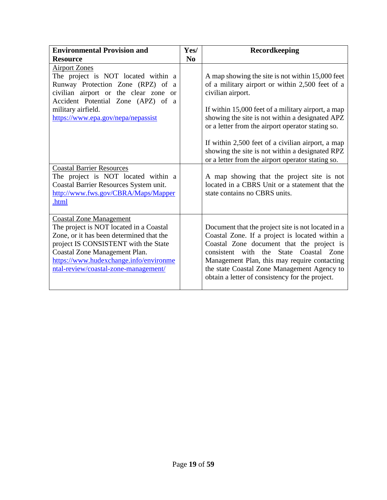| <b>Environmental Provision and</b>                                                                                                                                                                                                                                               | Yes/           | <b>Recordkeeping</b>                                                                                                                                                                                                                                                                                                                                                                                                                                |
|----------------------------------------------------------------------------------------------------------------------------------------------------------------------------------------------------------------------------------------------------------------------------------|----------------|-----------------------------------------------------------------------------------------------------------------------------------------------------------------------------------------------------------------------------------------------------------------------------------------------------------------------------------------------------------------------------------------------------------------------------------------------------|
| <b>Resource</b>                                                                                                                                                                                                                                                                  | N <sub>0</sub> |                                                                                                                                                                                                                                                                                                                                                                                                                                                     |
| <b>Airport Zones</b><br>The project is NOT located within a<br>Runway Protection Zone (RPZ) of a<br>civilian airport or the clear zone<br><b>or</b><br>Accident Potential Zone (APZ) of a<br>military airfield.<br>https://www.epa.gov/nepa/nepassist                            |                | A map showing the site is not within 15,000 feet<br>of a military airport or within 2,500 feet of a<br>civilian airport.<br>If within 15,000 feet of a military airport, a map<br>showing the site is not within a designated APZ<br>or a letter from the airport operator stating so.<br>If within 2,500 feet of a civilian airport, a map<br>showing the site is not within a designated RPZ<br>or a letter from the airport operator stating so. |
| <b>Coastal Barrier Resources</b><br>The project is NOT located within a<br>Coastal Barrier Resources System unit.<br>http://www.fws.gov/CBRA/Maps/Mapper<br>.html                                                                                                                |                | A map showing that the project site is not<br>located in a CBRS Unit or a statement that the<br>state contains no CBRS units.                                                                                                                                                                                                                                                                                                                       |
| <b>Coastal Zone Management</b><br>The project is NOT located in a Coastal<br>Zone, or it has been determined that the<br>project IS CONSISTENT with the State<br>Coastal Zone Management Plan.<br>https://www.hudexchange.info/environme<br>ntal-review/coastal-zone-management/ |                | Document that the project site is not located in a<br>Coastal Zone. If a project is located within a<br>Coastal Zone document that the project is<br>consistent with the State Coastal Zone<br>Management Plan, this may require contacting<br>the state Coastal Zone Management Agency to<br>obtain a letter of consistency for the project.                                                                                                       |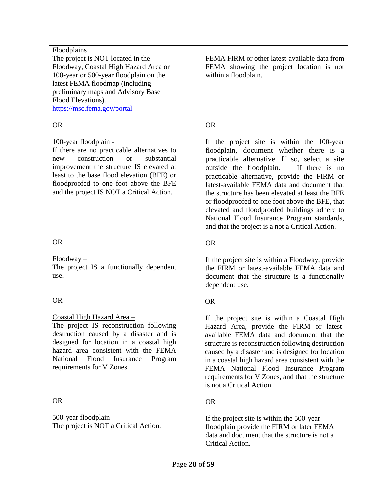#### Floodplains

The project is NOT located in the Floodway, Coastal High Hazard Area or 100-year or 500-year floodplain on the latest FEMA floodmap (including preliminary maps and Advisory Base Flood Elevations).

<https://msc.fema.gov/portal>

#### OR

#### 100-year floodplain -

If there are no practicable alternatives to new construction or substantial improvement the structure IS elevated at least to the base flood elevation (BFE) or floodproofed to one foot above the BFE and the project IS NOT a Critical Action.

#### OR

Floodway – The project IS a functionally dependent use.

OR

## Coastal High Hazard Area –

The project IS reconstruction following destruction caused by a disaster and is designed for location in a coastal high hazard area consistent with the FEMA National Flood Insurance Program requirements for V Zones.

OR

500-year floodplain – The project is NOT a Critical Action. FEMA FIRM or other latest-available data from FEMA showing the project location is not within a floodplain.

## OR

If the project site is within the 100-year floodplain, document whether there is a practicable alternative. If so, select a site outside the floodplain. If there is no practicable alternative, provide the FIRM or latest-available FEMA data and document that the structure has been elevated at least the BFE or floodproofed to one foot above the BFE, that elevated and floodproofed buildings adhere to National Flood Insurance Program standards, and that the project is a not a Critical Action.

OR

If the project site is within a Floodway, provide the FIRM or latest-available FEMA data and document that the structure is a functionally dependent use.

#### OR

If the project site is within a Coastal High Hazard Area, provide the FIRM or latestavailable FEMA data and document that the structure is reconstruction following destruction caused by a disaster and is designed for location in a coastal high hazard area consistent with the FEMA National Flood Insurance Program requirements for V Zones, and that the structure is not a Critical Action.

OR

If the project site is within the 500-year floodplain provide the FIRM or later FEMA data and document that the structure is not a Critical Action.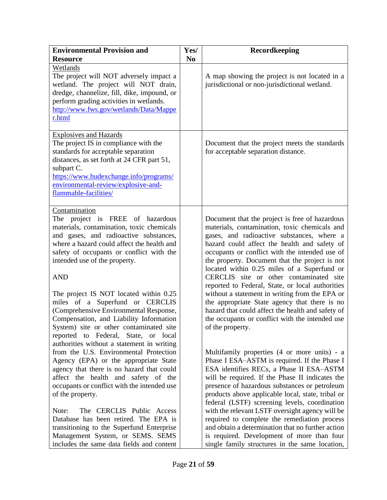| <b>Environmental Provision and</b>                                                                                                                                                                                                                                                                                                                                                                                                                                                                                                                                                   | Yes/           | Recordkeeping                                                                                                                                                                                                                                                                                                                                                                                                                                                                                                                                                                                                                                                                  |
|--------------------------------------------------------------------------------------------------------------------------------------------------------------------------------------------------------------------------------------------------------------------------------------------------------------------------------------------------------------------------------------------------------------------------------------------------------------------------------------------------------------------------------------------------------------------------------------|----------------|--------------------------------------------------------------------------------------------------------------------------------------------------------------------------------------------------------------------------------------------------------------------------------------------------------------------------------------------------------------------------------------------------------------------------------------------------------------------------------------------------------------------------------------------------------------------------------------------------------------------------------------------------------------------------------|
| <b>Resource</b>                                                                                                                                                                                                                                                                                                                                                                                                                                                                                                                                                                      | N <sub>0</sub> |                                                                                                                                                                                                                                                                                                                                                                                                                                                                                                                                                                                                                                                                                |
| Wetlands<br>The project will NOT adversely impact a<br>wetland. The project will NOT drain,<br>dredge, channelize, fill, dike, impound, or<br>perform grading activities in wetlands.<br>http://www.fws.gov/wetlands/Data/Mappe<br>r.html                                                                                                                                                                                                                                                                                                                                            |                | A map showing the project is not located in a<br>jurisdictional or non-jurisdictional wetland.                                                                                                                                                                                                                                                                                                                                                                                                                                                                                                                                                                                 |
| <b>Explosives and Hazards</b><br>The project IS in compliance with the<br>standards for acceptable separation<br>distances, as set forth at 24 CFR part 51,<br>subpart C.<br>https://www.hudexchange.info/programs/<br>environmental-review/explosive-and-<br>flammable-facilities/                                                                                                                                                                                                                                                                                                  |                | Document that the project meets the standards<br>for acceptable separation distance.                                                                                                                                                                                                                                                                                                                                                                                                                                                                                                                                                                                           |
| Contamination<br>The project is FREE of hazardous<br>materials, contamination, toxic chemicals<br>and gases, and radioactive substances,<br>where a hazard could affect the health and<br>safety of occupants or conflict with the<br>intended use of the property.<br><b>AND</b><br>The project IS NOT located within 0.25<br>miles of a Superfund or CERCLIS<br>(Comprehensive Environmental Response,<br>Compensation, and Liability Information<br>System) site or other contaminated site<br>reported to Federal, State, or local<br>authorities without a statement in writing |                | Document that the project is free of hazardous<br>materials, contamination, toxic chemicals and<br>gases, and radioactive substances, where a<br>hazard could affect the health and safety of<br>occupants or conflict with the intended use of<br>the property. Document that the project is not<br>located within 0.25 miles of a Superfund or<br>CERCLIS site or other contaminated site<br>reported to Federal, State, or local authorities<br>without a statement in writing from the EPA or<br>the appropriate State agency that there is no<br>hazard that could affect the health and safety of<br>the occupants or conflict with the intended use<br>of the property. |
| from the U.S. Environmental Protection<br>Agency (EPA) or the appropriate State<br>agency that there is no hazard that could<br>affect the health and safety of the<br>occupants or conflict with the intended use<br>of the property.<br>The CERCLIS Public Access<br>Note:<br>Database has been retired. The EPA is<br>transitioning to the Superfund Enterprise<br>Management System, or SEMS. SEMS<br>includes the same data fields and content                                                                                                                                  |                | Multifamily properties (4 or more units) - a<br>Phase I ESA-ASTM is required. If the Phase I<br>ESA identifies RECs, a Phase II ESA-ASTM<br>will be required. If the Phase II indicates the<br>presence of hazardous substances or petroleum<br>products above applicable local, state, tribal or<br>federal (LSTF) screening levels, coordination<br>with the relevant LSTF oversight agency will be<br>required to complete the remediation process<br>and obtain a determination that no further action<br>is required. Development of more than four<br>single family structures in the same location,                                                                     |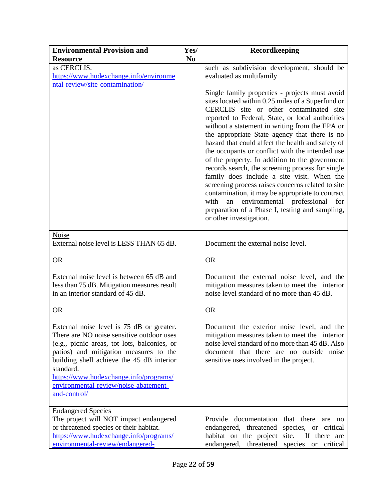| <b>Environmental Provision and</b>                                                                                                                                                                                                                                                                                                            |                | Recordkeeping                                                                                                                                                                                                                                                                                                                                                                                                                                                                                                                                                                                                                                                                                                                                                                                               |
|-----------------------------------------------------------------------------------------------------------------------------------------------------------------------------------------------------------------------------------------------------------------------------------------------------------------------------------------------|----------------|-------------------------------------------------------------------------------------------------------------------------------------------------------------------------------------------------------------------------------------------------------------------------------------------------------------------------------------------------------------------------------------------------------------------------------------------------------------------------------------------------------------------------------------------------------------------------------------------------------------------------------------------------------------------------------------------------------------------------------------------------------------------------------------------------------------|
| <b>Resource</b>                                                                                                                                                                                                                                                                                                                               | N <sub>0</sub> |                                                                                                                                                                                                                                                                                                                                                                                                                                                                                                                                                                                                                                                                                                                                                                                                             |
| as CERCLIS.<br>https://www.hudexchange.info/environme<br>ntal-review/site-contamination/                                                                                                                                                                                                                                                      |                | such as subdivision development, should be<br>evaluated as multifamily                                                                                                                                                                                                                                                                                                                                                                                                                                                                                                                                                                                                                                                                                                                                      |
|                                                                                                                                                                                                                                                                                                                                               |                | Single family properties - projects must avoid<br>sites located within 0.25 miles of a Superfund or<br>CERCLIS site or other contaminated site<br>reported to Federal, State, or local authorities<br>without a statement in writing from the EPA or<br>the appropriate State agency that there is no<br>hazard that could affect the health and safety of<br>the occupants or conflict with the intended use<br>of the property. In addition to the government<br>records search, the screening process for single<br>family does include a site visit. When the<br>screening process raises concerns related to site<br>contamination, it may be appropriate to contract<br>environmental professional<br>with<br>an<br>for<br>preparation of a Phase I, testing and sampling,<br>or other investigation. |
| Noise<br>External noise level is LESS THAN 65 dB.                                                                                                                                                                                                                                                                                             |                | Document the external noise level.                                                                                                                                                                                                                                                                                                                                                                                                                                                                                                                                                                                                                                                                                                                                                                          |
| <b>OR</b>                                                                                                                                                                                                                                                                                                                                     |                | <b>OR</b>                                                                                                                                                                                                                                                                                                                                                                                                                                                                                                                                                                                                                                                                                                                                                                                                   |
| External noise level is between 65 dB and<br>less than 75 dB. Mitigation measures result<br>in an interior standard of 45 dB.                                                                                                                                                                                                                 |                | Document the external noise level, and the<br>mitigation measures taken to meet the interior<br>noise level standard of no more than 45 dB.                                                                                                                                                                                                                                                                                                                                                                                                                                                                                                                                                                                                                                                                 |
| <b>OR</b>                                                                                                                                                                                                                                                                                                                                     |                | <b>OR</b>                                                                                                                                                                                                                                                                                                                                                                                                                                                                                                                                                                                                                                                                                                                                                                                                   |
| External noise level is 75 dB or greater.<br>There are NO noise sensitive outdoor uses<br>(e.g., picnic areas, tot lots, balconies, or<br>patios) and mitigation measures to the<br>building shell achieve the 45 dB interior<br>standard.<br>https://www.hudexchange.info/programs/<br>environmental-review/noise-abatement-<br>and-control/ |                | Document the exterior noise level, and the<br>mitigation measures taken to meet the interior<br>noise level standard of no more than 45 dB. Also<br>document that there are no outside noise<br>sensitive uses involved in the project.                                                                                                                                                                                                                                                                                                                                                                                                                                                                                                                                                                     |
| <b>Endangered Species</b><br>The project will NOT impact endangered<br>or threatened species or their habitat.<br>https://www.hudexchange.info/programs/<br>environmental-review/endangered-                                                                                                                                                  |                | Provide documentation that there<br>are no<br>endangered, threatened species, or critical<br>habitat on the project site.<br>If there are<br>endangered, threatened species or<br>critical                                                                                                                                                                                                                                                                                                                                                                                                                                                                                                                                                                                                                  |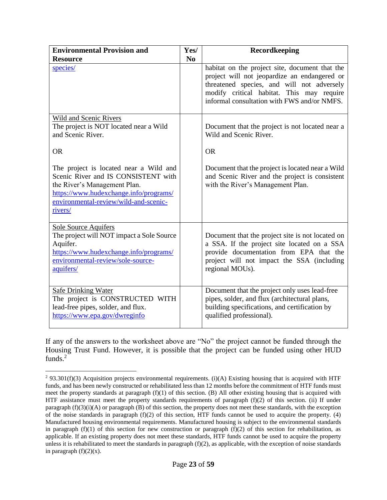| <b>Environmental Provision and</b>                                                                                                                                                                          | Yes/           | Recordkeeping                                                                                                                                                                                                                            |
|-------------------------------------------------------------------------------------------------------------------------------------------------------------------------------------------------------------|----------------|------------------------------------------------------------------------------------------------------------------------------------------------------------------------------------------------------------------------------------------|
| <b>Resource</b>                                                                                                                                                                                             | N <sub>0</sub> |                                                                                                                                                                                                                                          |
| species/                                                                                                                                                                                                    |                | habitat on the project site, document that the<br>project will not jeopardize an endangered or<br>threatened species, and will not adversely<br>modify critical habitat. This may require<br>informal consultation with FWS and/or NMFS. |
| Wild and Scenic Rivers<br>The project is NOT located near a Wild<br>and Scenic River.<br><b>OR</b>                                                                                                          |                | Document that the project is not located near a<br>Wild and Scenic River.<br><b>OR</b>                                                                                                                                                   |
|                                                                                                                                                                                                             |                |                                                                                                                                                                                                                                          |
| The project is located near a Wild and<br>Scenic River and IS CONSISTENT with<br>the River's Management Plan.<br>https://www.hudexchange.info/programs/<br>environmental-review/wild-and-scenic-<br>rivers/ |                | Document that the project is located near a Wild<br>and Scenic River and the project is consistent<br>with the River's Management Plan.                                                                                                  |
| <b>Sole Source Aquifers</b><br>The project will NOT impact a Sole Source<br>Aquifer.<br>https://www.hudexchange.info/programs/<br>environmental-review/sole-source-<br>aquifers/                            |                | Document that the project site is not located on<br>a SSA. If the project site located on a SSA<br>provide documentation from EPA that the<br>project will not impact the SSA (including<br>regional MOUs).                              |
| <b>Safe Drinking Water</b><br>The project is CONSTRUCTED WITH<br>lead-free pipes, solder, and flux.<br>https://www.epa.gov/dwreginfo                                                                        |                | Document that the project only uses lead-free<br>pipes, solder, and flux (architectural plans,<br>building specifications, and certification by<br>qualified professional).                                                              |

If any of the answers to the worksheet above are "No" the project cannot be funded through the Housing Trust Fund. However, it is possible that the project can be funded using other HUD funds.<sup>2</sup>

 $\overline{a}$ 

<sup>&</sup>lt;sup>2</sup> 93.301(f)(3) Acquisition projects environmental requirements. (i)(A) Existing housing that is acquired with HTF funds, and has been newly constructed or rehabilitated less than 12 months before the commitment of HTF funds must meet the property standards at paragraph (f)(1) of this section. (B) All other existing housing that is acquired with HTF assistance must meet the property standards requirements of paragraph (f)(2) of this section. (ii) If under paragraph  $(f)(3)(i)(A)$  or paragraph  $(B)$  of this section, the property does not meet these standards, with the exception of the noise standards in paragraph  $(f)(2)$  of this section, HTF funds cannot be used to acquire the property. (4) Manufactured housing environmental requirements. Manufactured housing is subject to the environmental standards in paragraph  $(f)(1)$  of this section for new construction or paragraph  $(f)(2)$  of this section for rehabilitation, as applicable. If an existing property does not meet these standards, HTF funds cannot be used to acquire the property unless it is rehabilitated to meet the standards in paragraph  $(f)(2)$ , as applicable, with the exception of noise standards in paragraph  $(f)(2)(x)$ .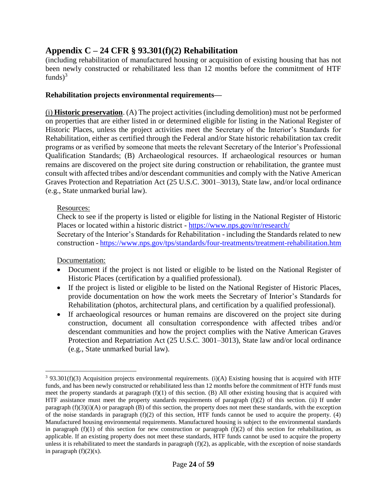## <span id="page-23-0"></span>**Appendix C – 24 CFR § 93.301(f)(2) Rehabilitation**

(including rehabilitation of manufactured housing or acquisition of existing housing that has not been newly constructed or rehabilitated less than 12 months before the commitment of HTF funds $)^3$ 

#### **Rehabilitation projects environmental requirements—**

(i) **Historic preservation**. (A) The project activities (including demolition) must not be performed on properties that are either listed in or determined eligible for listing in the National Register of Historic Places, unless the project activities meet the Secretary of the Interior's Standards for Rehabilitation, either as certified through the Federal and/or State historic rehabilitation tax credit programs or as verified by someone that meets the relevant Secretary of the Interior's Professional Qualification Standards; (B) Archaeological resources. If archaeological resources or human remains are discovered on the project site during construction or rehabilitation, the grantee must consult with affected tribes and/or descendant communities and comply with the Native American Graves Protection and Repatriation Act (25 U.S.C. 3001–3013), State law, and/or local ordinance (e.g., State unmarked burial law).

#### Resources:

Check to see if the property is listed or eligible for listing in the National Register of Historic Places or located within a historic district - <https://www.nps.gov/nr/research/> Secretary of the Interior's Standards for Rehabilitation - including the Standards related to new construction - <https://www.nps.gov/tps/standards/four-treatments/treatment-rehabilitation.htm>

Documentation:

 $\overline{a}$ 

- Document if the project is not listed or eligible to be listed on the National Register of Historic Places (certification by a qualified professional).
- If the project is listed or eligible to be listed on the National Register of Historic Places, provide documentation on how the work meets the Secretary of Interior's Standards for Rehabilitation (photos, architectural plans, and certification by a qualified professional).
- If archaeological resources or human remains are discovered on the project site during construction, document all consultation correspondence with affected tribes and/or descendant communities and how the project complies with the Native American Graves Protection and Repatriation Act (25 U.S.C. 3001–3013), State law and/or local ordinance (e.g., State unmarked burial law).

 $3$  93.301(f)(3) Acquisition projects environmental requirements. (i)(A) Existing housing that is acquired with HTF funds, and has been newly constructed or rehabilitated less than 12 months before the commitment of HTF funds must meet the property standards at paragraph (f)(1) of this section. (B) All other existing housing that is acquired with HTF assistance must meet the property standards requirements of paragraph (f)(2) of this section. (ii) If under paragraph (f)(3)(i)(A) or paragraph (B) of this section, the property does not meet these standards, with the exception of the noise standards in paragraph  $(f)(2)$  of this section, HTF funds cannot be used to acquire the property. (4) Manufactured housing environmental requirements. Manufactured housing is subject to the environmental standards in paragraph  $(f)(1)$  of this section for new construction or paragraph  $(f)(2)$  of this section for rehabilitation, as applicable. If an existing property does not meet these standards, HTF funds cannot be used to acquire the property unless it is rehabilitated to meet the standards in paragraph  $(f)(2)$ , as applicable, with the exception of noise standards in paragraph  $(f)(2)(x)$ .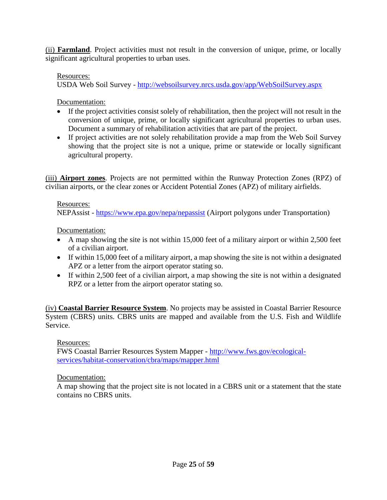(ii) **Farmland**. Project activities must not result in the conversion of unique, prime, or locally significant agricultural properties to urban uses.

#### Resources:

USDA Web Soil Survey - <http://websoilsurvey.nrcs.usda.gov/app/WebSoilSurvey.aspx>

Documentation:

- If the project activities consist solely of rehabilitation, then the project will not result in the conversion of unique, prime, or locally significant agricultural properties to urban uses. Document a summary of rehabilitation activities that are part of the project.
- If project activities are not solely rehabilitation provide a map from the Web Soil Survey showing that the project site is not a unique, prime or statewide or locally significant agricultural property.

(iii) **Airport zones**. Projects are not permitted within the Runway Protection Zones (RPZ) of civilian airports, or the clear zones or Accident Potential Zones (APZ) of military airfields.

#### Resources:

NEPAssist - <https://www.epa.gov/nepa/nepassist> (Airport polygons under Transportation)

Documentation:

- A map showing the site is not within 15,000 feet of a military airport or within 2,500 feet of a civilian airport.
- If within 15,000 feet of a military airport, a map showing the site is not within a designated APZ or a letter from the airport operator stating so.
- If within 2,500 feet of a civilian airport, a map showing the site is not within a designated RPZ or a letter from the airport operator stating so.

(iv) **Coastal Barrier Resource System**. No projects may be assisted in Coastal Barrier Resource System (CBRS) units. CBRS units are mapped and available from the U.S. Fish and Wildlife Service.

#### Resources:

FWS Coastal Barrier Resources System Mapper - [http://www.fws.gov/ecological](http://www.fws.gov/ecological-services/habitat-conservation/cbra/maps/mapper.html)[services/habitat-conservation/cbra/maps/mapper.html](http://www.fws.gov/ecological-services/habitat-conservation/cbra/maps/mapper.html)

#### Documentation:

A map showing that the project site is not located in a CBRS unit or a statement that the state contains no CBRS units.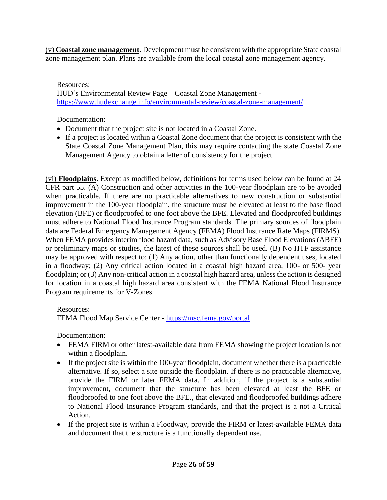(v) **Coastal zone management**. Development must be consistent with the appropriate State coastal zone management plan. Plans are available from the local coastal zone management agency.

### Resources:

HUD's Environmental Review Page – Coastal Zone Management <https://www.hudexchange.info/environmental-review/coastal-zone-management/>

### Documentation:

- Document that the project site is not located in a Coastal Zone.
- If a project is located within a Coastal Zone document that the project is consistent with the State Coastal Zone Management Plan, this may require contacting the state Coastal Zone Management Agency to obtain a letter of consistency for the project.

(vi) **Floodplains**. Except as modified below, definitions for terms used below can be found at 24 CFR part 55. (A) Construction and other activities in the 100-year floodplain are to be avoided when practicable. If there are no practicable alternatives to new construction or substantial improvement in the 100-year floodplain, the structure must be elevated at least to the base flood elevation (BFE) or floodproofed to one foot above the BFE. Elevated and floodproofed buildings must adhere to National Flood Insurance Program standards. The primary sources of floodplain data are Federal Emergency Management Agency (FEMA) Flood Insurance Rate Maps (FIRMS). When FEMA provides interim flood hazard data, such as Advisory Base Flood Elevations (ABFE) or preliminary maps or studies, the latest of these sources shall be used. (B) No HTF assistance may be approved with respect to: (1) Any action, other than functionally dependent uses, located in a floodway; (2) Any critical action located in a coastal high hazard area, 100- or 500- year floodplain; or (3) Any non-critical action in a coastal high hazard area, unless the action is designed for location in a coastal high hazard area consistent with the FEMA National Flood Insurance Program requirements for V-Zones.

#### Resources:

FEMA Flood Map Service Center - <https://msc.fema.gov/portal>

Documentation:

- FEMA FIRM or other latest-available data from FEMA showing the project location is not within a floodplain.
- If the project site is within the 100-year floodplain, document whether there is a practicable alternative. If so, select a site outside the floodplain. If there is no practicable alternative, provide the FIRM or later FEMA data. In addition, if the project is a substantial improvement, document that the structure has been elevated at least the BFE or floodproofed to one foot above the BFE., that elevated and floodproofed buildings adhere to National Flood Insurance Program standards, and that the project is a not a Critical Action.
- If the project site is within a Floodway, provide the FIRM or latest-available FEMA data and document that the structure is a functionally dependent use.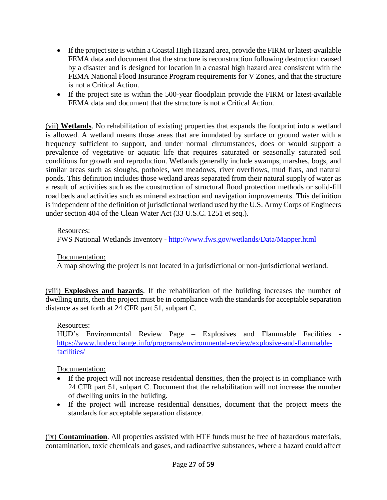- If the project site is within a Coastal High Hazard area, provide the FIRM or latest-available FEMA data and document that the structure is reconstruction following destruction caused by a disaster and is designed for location in a coastal high hazard area consistent with the FEMA National Flood Insurance Program requirements for V Zones, and that the structure is not a Critical Action.
- If the project site is within the 500-year floodplain provide the FIRM or latest-available FEMA data and document that the structure is not a Critical Action.

(vii) **Wetlands**. No rehabilitation of existing properties that expands the footprint into a wetland is allowed. A wetland means those areas that are inundated by surface or ground water with a frequency sufficient to support, and under normal circumstances, does or would support a prevalence of vegetative or aquatic life that requires saturated or seasonally saturated soil conditions for growth and reproduction. Wetlands generally include swamps, marshes, bogs, and similar areas such as sloughs, potholes, wet meadows, river overflows, mud flats, and natural ponds. This definition includes those wetland areas separated from their natural supply of water as a result of activities such as the construction of structural flood protection methods or solid-fill road beds and activities such as mineral extraction and navigation improvements. This definition is independent of the definition of jurisdictional wetland used by the U.S. Army Corps of Engineers under section 404 of the Clean Water Act (33 U.S.C. 1251 et seq.).

#### Resources:

FWS National Wetlands Inventory - <http://www.fws.gov/wetlands/Data/Mapper.html>

#### Documentation:

A map showing the project is not located in a jurisdictional or non-jurisdictional wetland.

(viii) **Explosives and hazards**. If the rehabilitation of the building increases the number of dwelling units, then the project must be in compliance with the standards for acceptable separation distance as set forth at 24 CFR part 51, subpart C.

#### Resources:

HUD's Environmental Review Page – Explosives and Flammable Facilities [https://www.hudexchange.info/programs/environmental-review/explosive-and-flammable](https://www.hudexchange.info/programs/environmental-review/explosive-and-flammable-facilities/)[facilities/](https://www.hudexchange.info/programs/environmental-review/explosive-and-flammable-facilities/)

#### Documentation:

- If the project will not increase residential densities, then the project is in compliance with 24 CFR part 51, subpart C. Document that the rehabilitation will not increase the number of dwelling units in the building.
- If the project will increase residential densities, document that the project meets the standards for acceptable separation distance.

(ix) **Contamination**. All properties assisted with HTF funds must be free of hazardous materials, contamination, toxic chemicals and gases, and radioactive substances, where a hazard could affect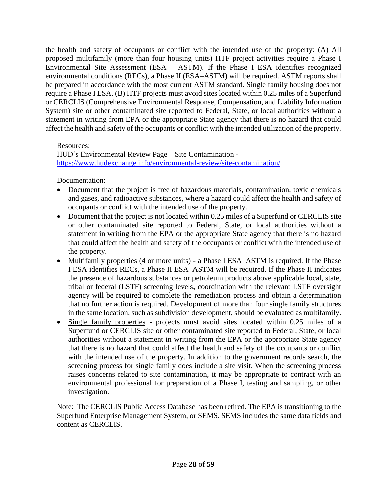the health and safety of occupants or conflict with the intended use of the property: (A) All proposed multifamily (more than four housing units) HTF project activities require a Phase I Environmental Site Assessment (ESA— ASTM). If the Phase I ESA identifies recognized environmental conditions (RECs), a Phase II (ESA–ASTM) will be required. ASTM reports shall be prepared in accordance with the most current ASTM standard. Single family housing does not require a Phase I ESA. (B) HTF projects must avoid sites located within 0.25 miles of a Superfund or CERCLIS (Comprehensive Environmental Response, Compensation, and Liability Information System) site or other contaminated site reported to Federal, State, or local authorities without a statement in writing from EPA or the appropriate State agency that there is no hazard that could affect the health and safety of the occupants or conflict with the intended utilization of the property.

#### Resources:

HUD's Environmental Review Page – Site Contamination <https://www.hudexchange.info/environmental-review/site-contamination/>

Documentation:

- Document that the project is free of hazardous materials, contamination, toxic chemicals and gases, and radioactive substances, where a hazard could affect the health and safety of occupants or conflict with the intended use of the property.
- Document that the project is not located within 0.25 miles of a Superfund or CERCLIS site or other contaminated site reported to Federal, State, or local authorities without a statement in writing from the EPA or the appropriate State agency that there is no hazard that could affect the health and safety of the occupants or conflict with the intended use of the property.
- Multifamily properties (4 or more units) a Phase I ESA–ASTM is required. If the Phase I ESA identifies RECs, a Phase II ESA–ASTM will be required. If the Phase II indicates the presence of hazardous substances or petroleum products above applicable local, state, tribal or federal (LSTF) screening levels, coordination with the relevant LSTF oversight agency will be required to complete the remediation process and obtain a determination that no further action is required. Development of more than four single family structures in the same location, such as subdivision development, should be evaluated as multifamily.
- Single family properties projects must avoid sites located within 0.25 miles of a Superfund or CERCLIS site or other contaminated site reported to Federal, State, or local authorities without a statement in writing from the EPA or the appropriate State agency that there is no hazard that could affect the health and safety of the occupants or conflict with the intended use of the property. In addition to the government records search, the screening process for single family does include a site visit. When the screening process raises concerns related to site contamination, it may be appropriate to contract with an environmental professional for preparation of a Phase I, testing and sampling, or other investigation.

Note: The CERCLIS Public Access Database has been retired. The EPA is transitioning to the Superfund Enterprise Management System, or SEMS. SEMS includes the same data fields and content as CERCLIS.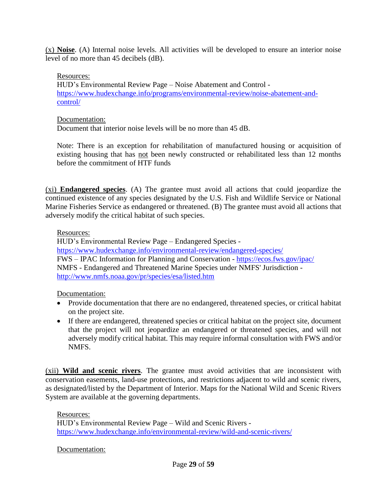(x) **Noise**. (A) Internal noise levels. All activities will be developed to ensure an interior noise level of no more than 45 decibels (dB).

#### Resources:

HUD's Environmental Review Page – Noise Abatement and Control [https://www.hudexchange.info/programs/environmental-review/noise-abatement-and](https://www.hudexchange.info/programs/environmental-review/noise-abatement-and-control/)[control/](https://www.hudexchange.info/programs/environmental-review/noise-abatement-and-control/)

#### Documentation:

Document that interior noise levels will be no more than 45 dB.

Note: There is an exception for rehabilitation of manufactured housing or acquisition of existing housing that has not been newly constructed or rehabilitated less than 12 months before the commitment of HTF funds

(xi) **Endangered species**. (A) The grantee must avoid all actions that could jeopardize the continued existence of any species designated by the U.S. Fish and Wildlife Service or National Marine Fisheries Service as endangered or threatened. (B) The grantee must avoid all actions that adversely modify the critical habitat of such species.

#### Resources:

HUD's Environmental Review Page – Endangered Species <https://www.hudexchange.info/environmental-review/endangered-species/> FWS – IPAC [Information for Planning and Conservation](https://ecos.fws.gov/ipac/) - <https://ecos.fws.gov/ipac/> NMFS - Endangered and Threatened Marine Species under NMFS' Jurisdiction <http://www.nmfs.noaa.gov/pr/species/esa/listed.htm>

Documentation:

- Provide documentation that there are no endangered, threatened species, or critical habitat on the project site.
- If there are endangered, threatened species or critical habitat on the project site, document that the project will not jeopardize an endangered or threatened species, and will not adversely modify critical habitat. This may require informal consultation with FWS and/or NMFS.

(xii) **Wild and scenic rivers**. The grantee must avoid activities that are inconsistent with conservation easements, land-use protections, and restrictions adjacent to wild and scenic rivers, as designated/listed by the Department of Interior. Maps for the National Wild and Scenic Rivers System are available at the governing departments.

Resources:

HUD's Environmental Review Page – Wild and Scenic Rivers <https://www.hudexchange.info/environmental-review/wild-and-scenic-rivers/>

Documentation: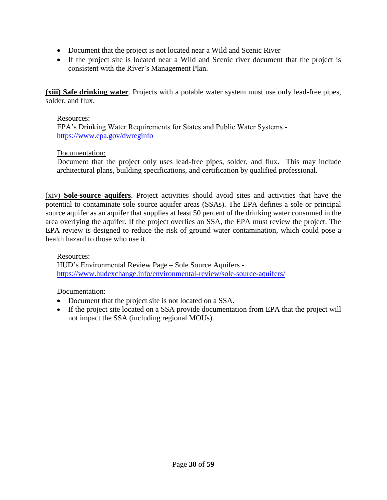- Document that the project is not located near a Wild and Scenic River
- If the project site is located near a Wild and Scenic river document that the project is consistent with the River's Management Plan.

**(xiii) Safe drinking water**. Projects with a potable water system must use only lead-free pipes, solder, and flux.

#### Resources:

EPA's Drinking Water Requirements for States and Public Water Systems <https://www.epa.gov/dwreginfo>

#### Documentation:

Document that the project only uses lead-free pipes, solder, and flux. This may include architectural plans, building specifications, and certification by qualified professional.

(xiv) **Sole-source aquifers**. Project activities should avoid sites and activities that have the potential to contaminate sole source aquifer areas (SSAs). The EPA defines a sole or principal source aquifer as an aquifer that supplies at least 50 percent of the drinking water consumed in the area overlying the aquifer. If the project overlies an SSA, the EPA must review the project. The EPA review is designed to reduce the risk of ground water contamination, which could pose a health hazard to those who use it.

Resources: HUD's Environmental Review Page – Sole Source Aquifers <https://www.hudexchange.info/environmental-review/sole-source-aquifers/>

Documentation:

- Document that the project site is not located on a SSA.
- If the project site located on a SSA provide documentation from EPA that the project will not impact the SSA (including regional MOUs).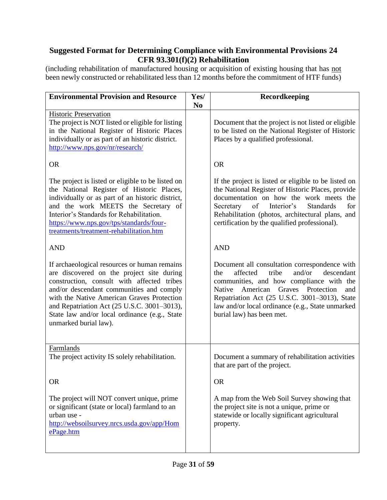## <span id="page-30-0"></span>**Suggested Format for Determining Compliance with Environmental Provisions 24 CFR 93.301(f)(2) Rehabilitation**

(including rehabilitation of manufactured housing or acquisition of existing housing that has not been newly constructed or rehabilitated less than 12 months before the commitment of HTF funds)

| <b>Environmental Provision and Resource</b>                                                                                                                                                                                                                                                                                                                | Yes/           | Recordkeeping                                                                                                                                                                                                                                                                                                               |
|------------------------------------------------------------------------------------------------------------------------------------------------------------------------------------------------------------------------------------------------------------------------------------------------------------------------------------------------------------|----------------|-----------------------------------------------------------------------------------------------------------------------------------------------------------------------------------------------------------------------------------------------------------------------------------------------------------------------------|
|                                                                                                                                                                                                                                                                                                                                                            | N <sub>0</sub> |                                                                                                                                                                                                                                                                                                                             |
| <b>Historic Preservation</b><br>The project is NOT listed or eligible for listing<br>in the National Register of Historic Places<br>individually or as part of an historic district.<br>http://www.nps.gov/nr/research/                                                                                                                                    |                | Document that the project is not listed or eligible<br>to be listed on the National Register of Historic<br>Places by a qualified professional.                                                                                                                                                                             |
| <b>OR</b>                                                                                                                                                                                                                                                                                                                                                  |                | <b>OR</b>                                                                                                                                                                                                                                                                                                                   |
| The project is listed or eligible to be listed on<br>the National Register of Historic Places,<br>individually or as part of an historic district,<br>and the work MEETS the Secretary of<br>Interior's Standards for Rehabilitation.<br>https://www.nps.gov/tps/standards/four-<br>treatments/treatment-rehabilitation.htm                                |                | If the project is listed or eligible to be listed on<br>the National Register of Historic Places, provide<br>documentation on how the work meets the<br>of Interior's<br>for<br><b>Standards</b><br>Secretary<br>Rehabilitation (photos, architectural plans, and<br>certification by the qualified professional).          |
| <b>AND</b>                                                                                                                                                                                                                                                                                                                                                 |                | <b>AND</b>                                                                                                                                                                                                                                                                                                                  |
| If archaeological resources or human remains<br>are discovered on the project site during<br>construction, consult with affected tribes<br>and/or descendant communities and comply<br>with the Native American Graves Protection<br>and Repatriation Act (25 U.S.C. 3001-3013),<br>State law and/or local ordinance (e.g., State<br>unmarked burial law). |                | Document all consultation correspondence with<br>affected<br>tribe<br>and/or<br>descendant<br>the<br>communities, and how compliance with the<br>Native American Graves Protection<br>and<br>Repatriation Act (25 U.S.C. 3001-3013), State<br>law and/or local ordinance (e.g., State unmarked<br>burial law) has been met. |
| Farmlands<br>The project activity IS solely rehabilitation.                                                                                                                                                                                                                                                                                                |                | Document a summary of rehabilitation activities<br>that are part of the project.                                                                                                                                                                                                                                            |
| <b>OR</b>                                                                                                                                                                                                                                                                                                                                                  |                | <b>OR</b>                                                                                                                                                                                                                                                                                                                   |
| The project will NOT convert unique, prime<br>or significant (state or local) farmland to an<br>urban use -<br>http://websoilsurvey.nrcs.usda.gov/app/Hom<br>ePage.htm                                                                                                                                                                                     |                | A map from the Web Soil Survey showing that<br>the project site is not a unique, prime or<br>statewide or locally significant agricultural<br>property.                                                                                                                                                                     |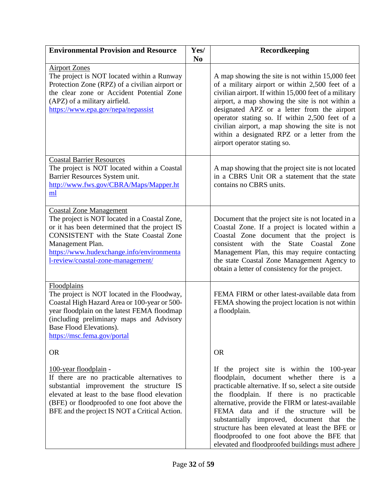| <b>Environmental Provision and Resource</b>                                                                                                                                                                                                                                             | Yes/<br>N <sub>0</sub> | Recordkeeping                                                                                                                                                                                                                                                                                                                                                                                                                                                                                 |
|-----------------------------------------------------------------------------------------------------------------------------------------------------------------------------------------------------------------------------------------------------------------------------------------|------------------------|-----------------------------------------------------------------------------------------------------------------------------------------------------------------------------------------------------------------------------------------------------------------------------------------------------------------------------------------------------------------------------------------------------------------------------------------------------------------------------------------------|
| <b>Airport Zones</b><br>The project is NOT located within a Runway<br>Protection Zone (RPZ) of a civilian airport or<br>the clear zone or Accident Potential Zone<br>(APZ) of a military airfield.<br>https://www.epa.gov/nepa/nepassist                                                |                        | A map showing the site is not within 15,000 feet<br>of a military airport or within 2,500 feet of a<br>civilian airport. If within 15,000 feet of a military<br>airport, a map showing the site is not within a<br>designated APZ or a letter from the airport<br>operator stating so. If within 2,500 feet of a<br>civilian airport, a map showing the site is not<br>within a designated RPZ or a letter from the<br>airport operator stating so.                                           |
| <b>Coastal Barrier Resources</b><br>The project is NOT located within a Coastal<br>Barrier Resources System unit.<br>http://www.fws.gov/CBRA/Maps/Mapper.ht<br>ml                                                                                                                       |                        | A map showing that the project site is not located<br>in a CBRS Unit OR a statement that the state<br>contains no CBRS units.                                                                                                                                                                                                                                                                                                                                                                 |
| <b>Coastal Zone Management</b><br>The project is NOT located in a Coastal Zone,<br>or it has been determined that the project IS<br><b>CONSISTENT</b> with the State Coastal Zone<br>Management Plan.<br>https://www.hudexchange.info/environmenta<br>l-review/coastal-zone-management/ |                        | Document that the project site is not located in a<br>Coastal Zone. If a project is located within a<br>Coastal Zone document that the project is<br>consistent with<br>State Coastal Zone<br>the<br>Management Plan, this may require contacting<br>the state Coastal Zone Management Agency to<br>obtain a letter of consistency for the project.                                                                                                                                           |
| Floodplains<br>The project is NOT located in the Floodway,<br>Coastal High Hazard Area or 100-year or 500-<br>year floodplain on the latest FEMA floodmap<br>(including preliminary maps and Advisory<br>Base Flood Elevations).<br>https://msc.fema.gov/portal                         |                        | FEMA FIRM or other latest-available data from<br>FEMA showing the project location is not within<br>a floodplain.                                                                                                                                                                                                                                                                                                                                                                             |
| <b>OR</b>                                                                                                                                                                                                                                                                               |                        | <b>OR</b>                                                                                                                                                                                                                                                                                                                                                                                                                                                                                     |
| <u>100-year floodplain</u> -<br>If there are no practicable alternatives to<br>substantial improvement the structure IS<br>elevated at least to the base flood elevation<br>(BFE) or floodproofed to one foot above the<br>BFE and the project IS NOT a Critical Action.                |                        | If the project site is within the 100-year<br>floodplain, document whether there is a<br>practicable alternative. If so, select a site outside<br>the floodplain. If there is no practicable<br>alternative, provide the FIRM or latest-available<br>FEMA data and if the structure will be<br>substantially improved, document that the<br>structure has been elevated at least the BFE or<br>floodproofed to one foot above the BFE that<br>elevated and floodproofed buildings must adhere |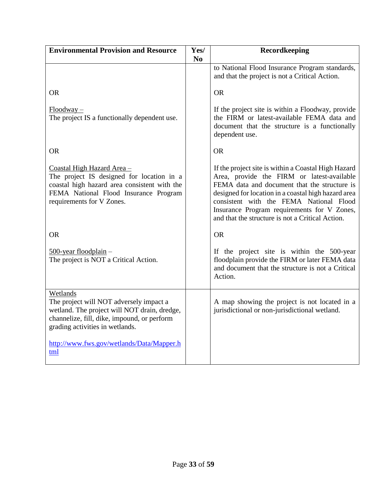| <b>Environmental Provision and Resource</b>                                                                                                                                                   | Yes/           | Recordkeeping                                                                                                                                                                                                                                                                                                                                          |
|-----------------------------------------------------------------------------------------------------------------------------------------------------------------------------------------------|----------------|--------------------------------------------------------------------------------------------------------------------------------------------------------------------------------------------------------------------------------------------------------------------------------------------------------------------------------------------------------|
|                                                                                                                                                                                               | N <sub>0</sub> | to National Flood Insurance Program standards,<br>and that the project is not a Critical Action.                                                                                                                                                                                                                                                       |
| <b>OR</b>                                                                                                                                                                                     |                | <b>OR</b>                                                                                                                                                                                                                                                                                                                                              |
| $Floodway -$<br>The project IS a functionally dependent use.                                                                                                                                  |                | If the project site is within a Floodway, provide<br>the FIRM or latest-available FEMA data and<br>document that the structure is a functionally<br>dependent use.                                                                                                                                                                                     |
| <b>OR</b>                                                                                                                                                                                     |                | <b>OR</b>                                                                                                                                                                                                                                                                                                                                              |
| Coastal High Hazard Area -<br>The project IS designed for location in a<br>coastal high hazard area consistent with the<br>FEMA National Flood Insurance Program<br>requirements for V Zones. |                | If the project site is within a Coastal High Hazard<br>Area, provide the FIRM or latest-available<br>FEMA data and document that the structure is<br>designed for location in a coastal high hazard area<br>consistent with the FEMA National Flood<br>Insurance Program requirements for V Zones,<br>and that the structure is not a Critical Action. |
| <b>OR</b>                                                                                                                                                                                     |                | <b>OR</b>                                                                                                                                                                                                                                                                                                                                              |
| $500$ -year floodplain –<br>The project is NOT a Critical Action.                                                                                                                             |                | If the project site is within the 500-year<br>floodplain provide the FIRM or later FEMA data<br>and document that the structure is not a Critical<br>Action.                                                                                                                                                                                           |
| Wetlands<br>The project will NOT adversely impact a<br>wetland. The project will NOT drain, dredge,<br>channelize, fill, dike, impound, or perform<br>grading activities in wetlands.         |                | A map showing the project is not located in a<br>jurisdictional or non-jurisdictional wetland.                                                                                                                                                                                                                                                         |
| http://www.fws.gov/wetlands/Data/Mapper.h<br>tml                                                                                                                                              |                |                                                                                                                                                                                                                                                                                                                                                        |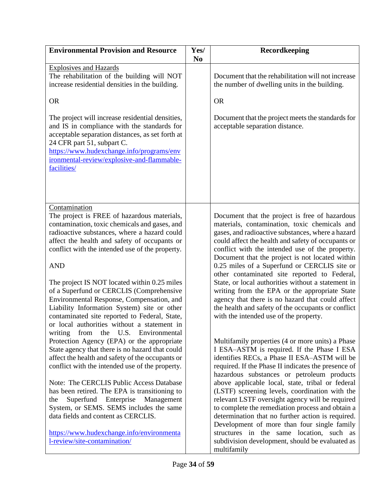| <b>Environmental Provision and Resource</b>                                                                                                                                                                                                                                                                                                                                                                                                                                                                                                                                                                   | Yes/<br>N <sub>0</sub> | Recordkeeping                                                                                                                                                                                                                                                                                                                                                                                                                                                                                                                                                                                                                                                                      |
|---------------------------------------------------------------------------------------------------------------------------------------------------------------------------------------------------------------------------------------------------------------------------------------------------------------------------------------------------------------------------------------------------------------------------------------------------------------------------------------------------------------------------------------------------------------------------------------------------------------|------------------------|------------------------------------------------------------------------------------------------------------------------------------------------------------------------------------------------------------------------------------------------------------------------------------------------------------------------------------------------------------------------------------------------------------------------------------------------------------------------------------------------------------------------------------------------------------------------------------------------------------------------------------------------------------------------------------|
| <b>Explosives and Hazards</b><br>The rehabilitation of the building will NOT<br>increase residential densities in the building.<br><b>OR</b><br>The project will increase residential densities,<br>and IS in compliance with the standards for<br>acceptable separation distances, as set forth at<br>24 CFR part 51, subpart C.<br>https://www.hudexchange.info/programs/env<br>ironmental-review/explosive-and-flammable-<br>facilities/                                                                                                                                                                   |                        | Document that the rehabilitation will not increase<br>the number of dwelling units in the building.<br><b>OR</b><br>Document that the project meets the standards for<br>acceptable separation distance.                                                                                                                                                                                                                                                                                                                                                                                                                                                                           |
| Contamination<br>The project is FREE of hazardous materials,<br>contamination, toxic chemicals and gases, and<br>radioactive substances, where a hazard could<br>affect the health and safety of occupants or<br>conflict with the intended use of the property.<br><b>AND</b><br>The project IS NOT located within 0.25 miles<br>of a Superfund or CERCLIS (Comprehensive<br>Environmental Response, Compensation, and<br>Liability Information System) site or other<br>contaminated site reported to Federal, State,<br>or local authorities without a statement in<br>writing from the U.S. Environmental |                        | Document that the project is free of hazardous<br>materials, contamination, toxic chemicals and<br>gases, and radioactive substances, where a hazard<br>could affect the health and safety of occupants or<br>conflict with the intended use of the property.<br>Document that the project is not located within<br>0.25 miles of a Superfund or CERCLIS site or<br>other contaminated site reported to Federal,<br>State, or local authorities without a statement in<br>writing from the EPA or the appropriate State<br>agency that there is no hazard that could affect<br>the health and safety of the occupants or conflict<br>with the intended use of the property.        |
| Protection Agency (EPA) or the appropriate<br>State agency that there is no hazard that could<br>affect the health and safety of the occupants or<br>conflict with the intended use of the property.<br>Note: The CERCLIS Public Access Database<br>has been retired. The EPA is transitioning to<br>Superfund Enterprise<br>Management<br>the<br>System, or SEMS. SEMS includes the same<br>data fields and content as CERCLIS.<br>https://www.hudexchange.info/environmenta<br>1-review/site-contamination/                                                                                                 |                        | Multifamily properties (4 or more units) a Phase<br>I ESA-ASTM is required. If the Phase I ESA<br>identifies RECs, a Phase II ESA-ASTM will be<br>required. If the Phase II indicates the presence of<br>hazardous substances or petroleum products<br>above applicable local, state, tribal or federal<br>(LSTF) screening levels, coordination with the<br>relevant LSTF oversight agency will be required<br>to complete the remediation process and obtain a<br>determination that no further action is required.<br>Development of more than four single family<br>structures in the same location, such as<br>subdivision development, should be evaluated as<br>multifamily |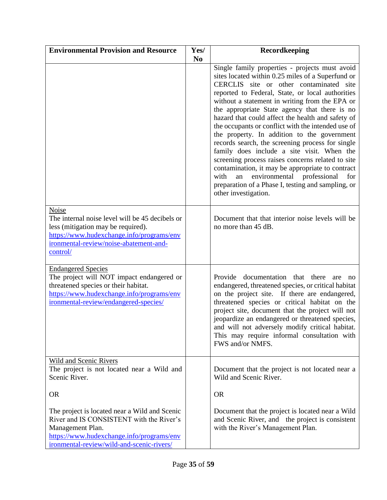| <b>Environmental Provision and Resource</b>                                                                                                                                                             | Yes/<br>N <sub>0</sub> | Recordkeeping                                                                                                                                                                                                                                                                                                                                                                                                                                                                                                                                                                                                                                                                                                                                                                                               |
|---------------------------------------------------------------------------------------------------------------------------------------------------------------------------------------------------------|------------------------|-------------------------------------------------------------------------------------------------------------------------------------------------------------------------------------------------------------------------------------------------------------------------------------------------------------------------------------------------------------------------------------------------------------------------------------------------------------------------------------------------------------------------------------------------------------------------------------------------------------------------------------------------------------------------------------------------------------------------------------------------------------------------------------------------------------|
|                                                                                                                                                                                                         |                        | Single family properties - projects must avoid<br>sites located within 0.25 miles of a Superfund or<br>CERCLIS site or other contaminated site<br>reported to Federal, State, or local authorities<br>without a statement in writing from the EPA or<br>the appropriate State agency that there is no<br>hazard that could affect the health and safety of<br>the occupants or conflict with the intended use of<br>the property. In addition to the government<br>records search, the screening process for single<br>family does include a site visit. When the<br>screening process raises concerns related to site<br>contamination, it may be appropriate to contract<br>with<br>environmental professional<br>an<br>for<br>preparation of a Phase I, testing and sampling, or<br>other investigation. |
| Noise<br>The internal noise level will be 45 decibels or<br>less (mitigation may be required).<br>https://www.hudexchange.info/programs/env<br>ironmental-review/noise-abatement-and-<br>control/       |                        | Document that that interior noise levels will be<br>no more than 45 dB.                                                                                                                                                                                                                                                                                                                                                                                                                                                                                                                                                                                                                                                                                                                                     |
| <b>Endangered Species</b><br>The project will NOT impact endangered or<br>threatened species or their habitat.<br>https://www.hudexchange.info/programs/env<br>ironmental-review/endangered-species/    |                        | Provide documentation that there<br>are<br>no<br>endangered, threatened species, or critical habitat<br>on the project site. If there are endangered,<br>threatened species or critical habitat on the<br>project site, document that the project will not<br>jeopardize an endangered or threatened species,<br>and will not adversely modify critical habitat.<br>This may require informal consultation with<br>FWS and/or NMFS.                                                                                                                                                                                                                                                                                                                                                                         |
| Wild and Scenic Rivers<br>The project is not located near a Wild and<br>Scenic River.                                                                                                                   |                        | Document that the project is not located near a<br>Wild and Scenic River.                                                                                                                                                                                                                                                                                                                                                                                                                                                                                                                                                                                                                                                                                                                                   |
| <b>OR</b>                                                                                                                                                                                               |                        | <b>OR</b>                                                                                                                                                                                                                                                                                                                                                                                                                                                                                                                                                                                                                                                                                                                                                                                                   |
| The project is located near a Wild and Scenic<br>River and IS CONSISTENT with the River's<br>Management Plan.<br>https://www.hudexchange.info/programs/env<br>ironmental-review/wild-and-scenic-rivers/ |                        | Document that the project is located near a Wild<br>and Scenic River, and the project is consistent<br>with the River's Management Plan.                                                                                                                                                                                                                                                                                                                                                                                                                                                                                                                                                                                                                                                                    |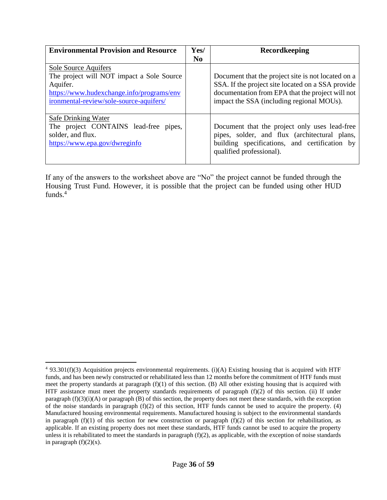| <b>Environmental Provision and Resource</b>                                                                                                                           | Yes/           | Recordkeeping                                                                                                                                                                                            |
|-----------------------------------------------------------------------------------------------------------------------------------------------------------------------|----------------|----------------------------------------------------------------------------------------------------------------------------------------------------------------------------------------------------------|
|                                                                                                                                                                       | N <sub>0</sub> |                                                                                                                                                                                                          |
| Sole Source Aquifers<br>The project will NOT impact a Sole Source<br>Aquifer.<br>https://www.hudexchange.info/programs/env<br>ironmental-review/sole-source-aquifers/ |                | Document that the project site is not located on a<br>SSA. If the project site located on a SSA provide<br>documentation from EPA that the project will not<br>impact the SSA (including regional MOUs). |
| Safe Drinking Water<br>The project CONTAINS lead-free pipes,<br>solder, and flux.<br>https://www.epa.gov/dwreginfo                                                    |                | Document that the project only uses lead-free<br>pipes, solder, and flux (architectural plans,<br>building specifications, and certification by<br>qualified professional).                              |

If any of the answers to the worksheet above are "No" the project cannot be funded through the Housing Trust Fund. However, it is possible that the project can be funded using other HUD funds.<sup>4</sup>

 $\overline{a}$ 

 $4$  93.301(f)(3) Acquisition projects environmental requirements. (i)(A) Existing housing that is acquired with HTF funds, and has been newly constructed or rehabilitated less than 12 months before the commitment of HTF funds must meet the property standards at paragraph (f)(1) of this section. (B) All other existing housing that is acquired with HTF assistance must meet the property standards requirements of paragraph (f)(2) of this section. (ii) If under paragraph  $(f)(3)(i)(A)$  or paragraph  $(B)$  of this section, the property does not meet these standards, with the exception of the noise standards in paragraph (f)(2) of this section, HTF funds cannot be used to acquire the property. (4) Manufactured housing environmental requirements. Manufactured housing is subject to the environmental standards in paragraph  $(f)(1)$  of this section for new construction or paragraph  $(f)(2)$  of this section for rehabilitation, as applicable. If an existing property does not meet these standards, HTF funds cannot be used to acquire the property unless it is rehabilitated to meet the standards in paragraph  $(f)(2)$ , as applicable, with the exception of noise standards in paragraph  $(f)(2)(x)$ .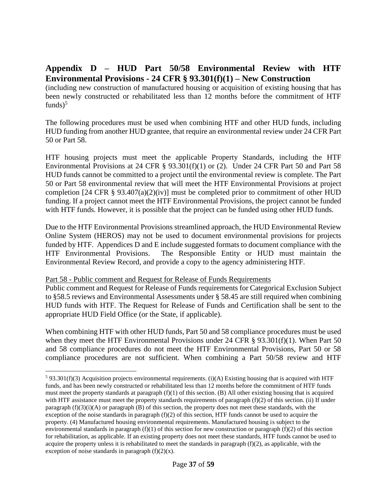## <span id="page-36-0"></span>**Appendix D – HUD Part 50/58 Environmental Review with HTF Environmental Provisions - 24 CFR § 93.301(f)(1) – New Construction**

(including new construction of manufactured housing or acquisition of existing housing that has been newly constructed or rehabilitated less than 12 months before the commitment of HTF funds)<sup>5</sup>

The following procedures must be used when combining HTF and other HUD funds, including HUD funding from another HUD grantee, that require an environmental review under 24 CFR Part 50 or Part 58.

HTF housing projects must meet the applicable Property Standards, including the HTF Environmental Provisions at 24 CFR  $\S$  93.301(f)(1) or (2). Under 24 CFR Part 50 and Part 58 HUD funds cannot be committed to a project until the environmental review is complete. The Part 50 or Part 58 environmental review that will meet the HTF Environmental Provisions at project completion [24 CFR  $\S$  93.407(a)(2)(iv)] must be completed prior to commitment of other HUD funding. If a project cannot meet the HTF Environmental Provisions, the project cannot be funded with HTF funds. However, it is possible that the project can be funded using other HUD funds.

Due to the HTF Environmental Provisions streamlined approach, the HUD Environmental Review Online System (HEROS) may not be used to document environmental provisions for projects funded by HTF. Appendices D and E include suggested formats to document compliance with the HTF Environmental Provisions. The Responsible Entity or HUD must maintain the Environmental Review Record, and provide a copy to the agency administering HTF.

#### Part 58 - Public comment and Request for Release of Funds Requirements

 $\overline{a}$ 

Public comment and Request for Release of Funds requirements for Categorical Exclusion Subject to §58.5 reviews and Environmental Assessments under § 58.45 are still required when combining HUD funds with HTF. The Request for Release of Funds and Certification shall be sent to the appropriate HUD Field Office (or the State, if applicable).

When combining HTF with other HUD funds, Part 50 and 58 compliance procedures must be used when they meet the HTF Environmental Provisions under 24 CFR § 93.301(f)(1). When Part 50 and 58 compliance procedures do not meet the HTF Environmental Provisions, Part 50 or 58 compliance procedures are not sufficient. When combining a Part 50/58 review and HTF

 $593.301(f)(3)$  Acquisition projects environmental requirements. (i)(A) Existing housing that is acquired with HTF funds, and has been newly constructed or rehabilitated less than 12 months before the commitment of HTF funds must meet the property standards at paragraph (f)(1) of this section. (B) All other existing housing that is acquired with HTF assistance must meet the property standards requirements of paragraph  $(f)(2)$  of this section. (ii) If under paragraph  $(f)(3)(i)$  or paragraph  $(B)$  of this section, the property does not meet these standards, with the exception of the noise standards in paragraph  $(f)(2)$  of this section, HTF funds cannot be used to acquire the property. (4) Manufactured housing environmental requirements. Manufactured housing is subject to the environmental standards in paragraph  $(f)(1)$  of this section for new construction or paragraph  $(f)(2)$  of this section for rehabilitation, as applicable. If an existing property does not meet these standards, HTF funds cannot be used to acquire the property unless it is rehabilitated to meet the standards in paragraph  $(f)(2)$ , as applicable, with the exception of noise standards in paragraph  $(f)(2)(x)$ .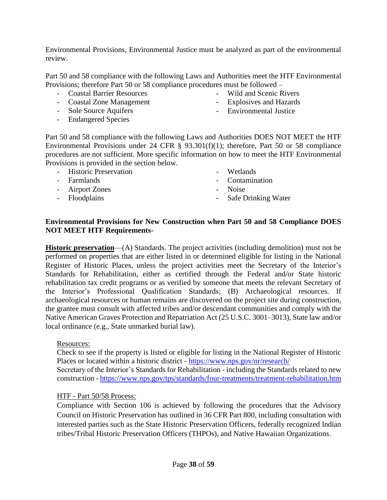Environmental Provisions, Environmental Justice must be analyzed as part of the environmental review.

Part 50 and 58 compliance with the following Laws and Authorities meet the HTF Environmental Provisions; therefore Part 50 or 58 compliance procedures must be followed –

- Coastal Barrier Resources
- Coastal Zone Management
- Sole Source Aquifers
- Endangered Species
- Wild and Scenic Rivers
- Explosives and Hazards
- Environmental Justice

Part 50 and 58 compliance with the following Laws and Authorities DOES NOT MEET the HTF Environmental Provisions under 24 CFR § 93.301(f)(1); therefore, Part 50 or 58 compliance procedures are not sufficient. More specific information on how to meet the HTF Environmental Provisions is provided in the section below.

- Historic Preservation
- Farmlands
- Airport Zones
- Floodplains
- Wetlands
- Contamination
- Noise
- Safe Drinking Water

#### **Environmental Provisions for New Construction when Part 50 and 58 Compliance DOES NOT MEET HTF Requirements-**

**Historic preservation**—(A) Standards. The project activities (including demolition) must not be performed on properties that are either listed in or determined eligible for listing in the National Register of Historic Places, unless the project activities meet the Secretary of the Interior's Standards for Rehabilitation, either as certified through the Federal and/or State historic rehabilitation tax credit programs or as verified by someone that meets the relevant Secretary of the Interior's Professional Qualification Standards; (B) Archaeological resources. If archaeological resources or human remains are discovered on the project site during construction, the grantee must consult with affected tribes and/or descendant communities and comply with the Native American Graves Protection and Repatriation Act (25 U.S.C. 3001–3013), State law and/or local ordinance (e.g., State unmarked burial law).

Resources:

Check to see if the property is listed or eligible for listing in the National Register of Historic Places or located within a historic district - <https://www.nps.gov/nr/research/>

Secretary of the Interior's Standards for Rehabilitation - including the Standards related to new construction - <https://www.nps.gov/tps/standards/four-treatments/treatment-rehabilitation.htm>

#### HTF - Part 50/58 Process:

Compliance with Section 106 is achieved by following the procedures that the Advisory Council on Historic Preservation has outlined in 36 CFR Part 800, including consultation with interested parties such as the State Historic Preservation Officers, federally recognized Indian tribes/Tribal Historic Preservation Officers (THPOs), and Native Hawaiian Organizations.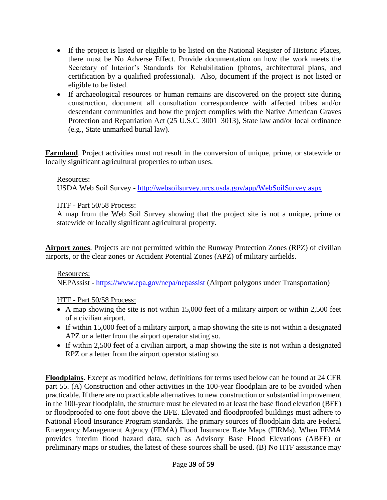- If the project is listed or eligible to be listed on the National Register of Historic Places, there must be No Adverse Effect. Provide documentation on how the work meets the Secretary of Interior's Standards for Rehabilitation (photos, architectural plans, and certification by a qualified professional). Also, document if the project is not listed or eligible to be listed.
- If archaeological resources or human remains are discovered on the project site during construction, document all consultation correspondence with affected tribes and/or descendant communities and how the project complies with the Native American Graves Protection and Repatriation Act (25 U.S.C. 3001–3013), State law and/or local ordinance (e.g., State unmarked burial law).

**Farmland**. Project activities must not result in the conversion of unique, prime, or statewide or locally significant agricultural properties to urban uses.

#### Resources:

USDA Web Soil Survey - <http://websoilsurvey.nrcs.usda.gov/app/WebSoilSurvey.aspx>

#### HTF - Part 50/58 Process:

A map from the Web Soil Survey showing that the project site is not a unique, prime or statewide or locally significant agricultural property.

**Airport zones**. Projects are not permitted within the Runway Protection Zones (RPZ) of civilian airports, or the clear zones or Accident Potential Zones (APZ) of military airfields.

#### Resources:

NEPAssist - <https://www.epa.gov/nepa/nepassist> (Airport polygons under Transportation)

#### HTF - Part 50/58 Process:

- A map showing the site is not within 15,000 feet of a military airport or within 2,500 feet of a civilian airport.
- If within 15,000 feet of a military airport, a map showing the site is not within a designated APZ or a letter from the airport operator stating so.
- If within 2,500 feet of a civilian airport, a map showing the site is not within a designated RPZ or a letter from the airport operator stating so.

**Floodplains**. Except as modified below, definitions for terms used below can be found at 24 CFR part 55. (A) Construction and other activities in the 100-year floodplain are to be avoided when practicable. If there are no practicable alternatives to new construction or substantial improvement in the 100-year floodplain, the structure must be elevated to at least the base flood elevation (BFE) or floodproofed to one foot above the BFE. Elevated and floodproofed buildings must adhere to National Flood Insurance Program standards. The primary sources of floodplain data are Federal Emergency Management Agency (FEMA) Flood Insurance Rate Maps (FIRMs). When FEMA provides interim flood hazard data, such as Advisory Base Flood Elevations (ABFE) or preliminary maps or studies, the latest of these sources shall be used. (B) No HTF assistance may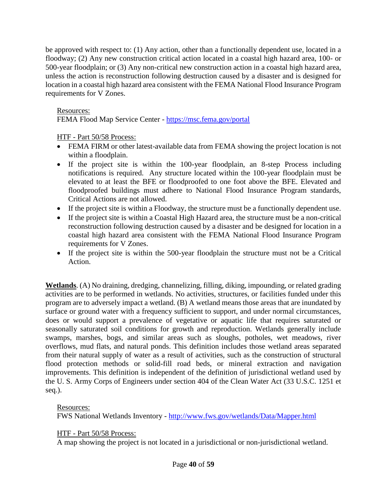be approved with respect to: (1) Any action, other than a functionally dependent use, located in a floodway; (2) Any new construction critical action located in a coastal high hazard area, 100- or 500-year floodplain; or (3) Any non-critical new construction action in a coastal high hazard area, unless the action is reconstruction following destruction caused by a disaster and is designed for location in a coastal high hazard area consistent with the FEMA National Flood Insurance Program requirements for V Zones.

#### Resources:

FEMA Flood Map Service Center - <https://msc.fema.gov/portal>

#### HTF - Part 50/58 Process:

- FEMA FIRM or other latest-available data from FEMA showing the project location is not within a floodplain.
- If the project site is within the 100-year floodplain, an 8-step Process including notifications is required. Any structure located within the 100-year floodplain must be elevated to at least the BFE or floodproofed to one foot above the BFE. Elevated and floodproofed buildings must adhere to National Flood Insurance Program standards, Critical Actions are not allowed.
- If the project site is within a Floodway, the structure must be a functionally dependent use.
- If the project site is within a Coastal High Hazard area, the structure must be a non-critical reconstruction following destruction caused by a disaster and be designed for location in a coastal high hazard area consistent with the FEMA National Flood Insurance Program requirements for V Zones.
- If the project site is within the 500-year floodplain the structure must not be a Critical Action.

**Wetlands**. (A) No draining, dredging, channelizing, filling, diking, impounding, or related grading activities are to be performed in wetlands. No activities, structures, or facilities funded under this program are to adversely impact a wetland. (B) A wetland means those areas that are inundated by surface or ground water with a frequency sufficient to support, and under normal circumstances, does or would support a prevalence of vegetative or aquatic life that requires saturated or seasonally saturated soil conditions for growth and reproduction. Wetlands generally include swamps, marshes, bogs, and similar areas such as sloughs, potholes, wet meadows, river overflows, mud flats, and natural ponds. This definition includes those wetland areas separated from their natural supply of water as a result of activities, such as the construction of structural flood protection methods or solid-fill road beds, or mineral extraction and navigation improvements. This definition is independent of the definition of jurisdictional wetland used by the U. S. Army Corps of Engineers under section 404 of the Clean Water Act (33 U.S.C. 1251 et seq.).

#### Resources:

FWS National Wetlands Inventory - <http://www.fws.gov/wetlands/Data/Mapper.html>

#### HTF - Part 50/58 Process:

A map showing the project is not located in a jurisdictional or non-jurisdictional wetland.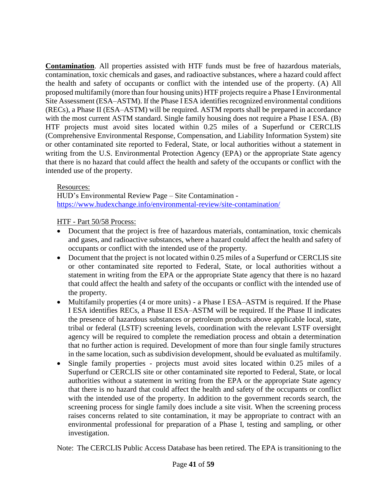**Contamination**. All properties assisted with HTF funds must be free of hazardous materials, contamination, toxic chemicals and gases, and radioactive substances, where a hazard could affect the health and safety of occupants or conflict with the intended use of the property. (A) All proposed multifamily (more than four housing units) HTF projects require a Phase I Environmental Site Assessment (ESA–ASTM). If the Phase I ESA identifies recognized environmental conditions (RECs), a Phase II (ESA–ASTM) will be required. ASTM reports shall be prepared in accordance with the most current ASTM standard. Single family housing does not require a Phase I ESA. (B) HTF projects must avoid sites located within 0.25 miles of a Superfund or CERCLIS (Comprehensive Environmental Response, Compensation, and Liability Information System) site or other contaminated site reported to Federal, State, or local authorities without a statement in writing from the U.S. Environmental Protection Agency (EPA) or the appropriate State agency that there is no hazard that could affect the health and safety of the occupants or conflict with the intended use of the property.

Resources:

HUD's Environmental Review Page – Site Contamination <https://www.hudexchange.info/environmental-review/site-contamination/>

HTF - Part 50/58 Process:

- Document that the project is free of hazardous materials, contamination, toxic chemicals and gases, and radioactive substances, where a hazard could affect the health and safety of occupants or conflict with the intended use of the property.
- Document that the project is not located within 0.25 miles of a Superfund or CERCLIS site or other contaminated site reported to Federal, State, or local authorities without a statement in writing from the EPA or the appropriate State agency that there is no hazard that could affect the health and safety of the occupants or conflict with the intended use of the property.
- Multifamily properties (4 or more units) a Phase I ESA–ASTM is required. If the Phase I ESA identifies RECs, a Phase II ESA–ASTM will be required. If the Phase II indicates the presence of hazardous substances or petroleum products above applicable local, state, tribal or federal (LSTF) screening levels, coordination with the relevant LSTF oversight agency will be required to complete the remediation process and obtain a determination that no further action is required. Development of more than four single family structures in the same location, such as subdivision development, should be evaluated as multifamily.
- Single family properties projects must avoid sites located within 0.25 miles of a Superfund or CERCLIS site or other contaminated site reported to Federal, State, or local authorities without a statement in writing from the EPA or the appropriate State agency that there is no hazard that could affect the health and safety of the occupants or conflict with the intended use of the property. In addition to the government records search, the screening process for single family does include a site visit. When the screening process raises concerns related to site contamination, it may be appropriate to contract with an environmental professional for preparation of a Phase I, testing and sampling, or other investigation.

Note: The CERCLIS Public Access Database has been retired. The EPA is transitioning to the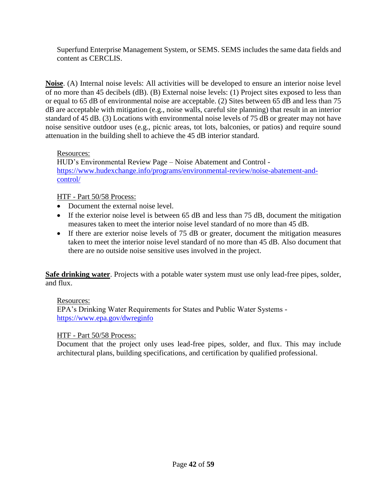Superfund Enterprise Management System, or SEMS. SEMS includes the same data fields and content as CERCLIS.

**Noise**. (A) Internal noise levels: All activities will be developed to ensure an interior noise level of no more than 45 decibels (dB). (B) External noise levels: (1) Project sites exposed to less than or equal to 65 dB of environmental noise are acceptable. (2) Sites between 65 dB and less than 75 dB are acceptable with mitigation (e.g., noise walls, careful site planning) that result in an interior standard of 45 dB. (3) Locations with environmental noise levels of 75 dB or greater may not have noise sensitive outdoor uses (e.g., picnic areas, tot lots, balconies, or patios) and require sound attenuation in the building shell to achieve the 45 dB interior standard.

#### Resources:

HUD's Environmental Review Page – Noise Abatement and Control [https://www.hudexchange.info/programs/environmental-review/noise-abatement-and](https://www.hudexchange.info/programs/environmental-review/noise-abatement-and-control/)[control/](https://www.hudexchange.info/programs/environmental-review/noise-abatement-and-control/)

#### HTF - Part 50/58 Process:

- Document the external noise level.
- If the exterior noise level is between 65 dB and less than 75 dB, document the mitigation measures taken to meet the interior noise level standard of no more than 45 dB.
- If there are exterior noise levels of 75 dB or greater, document the mitigation measures taken to meet the interior noise level standard of no more than 45 dB. Also document that there are no outside noise sensitive uses involved in the project.

**Safe drinking water**. Projects with a potable water system must use only lead-free pipes, solder, and flux.

#### Resources:

EPA's Drinking Water Requirements for States and Public Water Systems <https://www.epa.gov/dwreginfo>

#### HTF - Part 50/58 Process:

Document that the project only uses lead-free pipes, solder, and flux. This may include architectural plans, building specifications, and certification by qualified professional.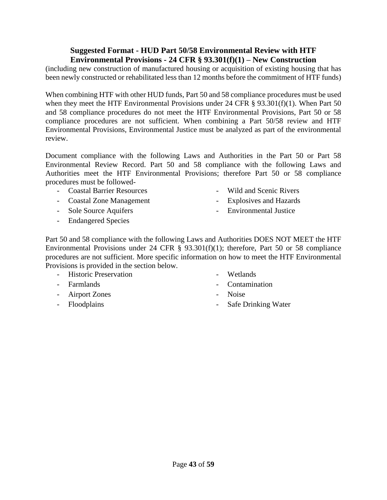#### **Suggested Format - HUD Part 50/58 Environmental Review with HTF Environmental Provisions - 24 CFR § 93.301(f)(1) – New Construction**

<span id="page-42-0"></span>(including new construction of manufactured housing or acquisition of existing housing that has been newly constructed or rehabilitated less than 12 months before the commitment of HTF funds)

When combining HTF with other HUD funds, Part 50 and 58 compliance procedures must be used when they meet the HTF Environmental Provisions under 24 CFR § 93.301(f)(1). When Part 50 and 58 compliance procedures do not meet the HTF Environmental Provisions, Part 50 or 58 compliance procedures are not sufficient. When combining a Part 50/58 review and HTF Environmental Provisions, Environmental Justice must be analyzed as part of the environmental review.

Document compliance with the following Laws and Authorities in the Part 50 or Part 58 Environmental Review Record. Part 50 and 58 compliance with the following Laws and Authorities meet the HTF Environmental Provisions; therefore Part 50 or 58 compliance procedures must be followed-

- Coastal Barrier Resources
- Coastal Zone Management
- Sole Source Aquifers
- Endangered Species
- Wild and Scenic Rivers
- Explosives and Hazards
- Environmental Justice

Part 50 and 58 compliance with the following Laws and Authorities DOES NOT MEET the HTF Environmental Provisions under 24 CFR § 93.301(f)(1); therefore, Part 50 or 58 compliance procedures are not sufficient. More specific information on how to meet the HTF Environmental Provisions is provided in the section below.

- Historic Preservation
- Farmlands
- Airport Zones
- Floodplains
- **Wetlands**
- Contamination
- Noise
- Safe Drinking Water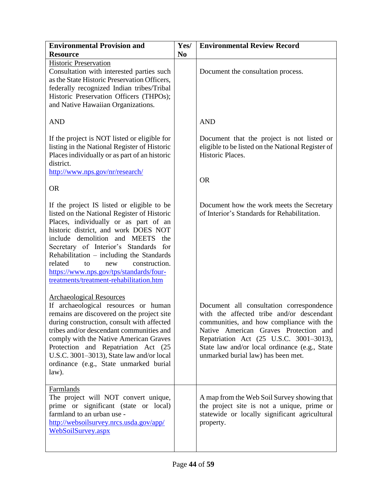| <b>Environmental Provision and</b>                                                                                                                                                                                                                                                                                                                                                                                                      | Yes/           | <b>Environmental Review Record</b>                                                                                                                                                                                                                                                                           |
|-----------------------------------------------------------------------------------------------------------------------------------------------------------------------------------------------------------------------------------------------------------------------------------------------------------------------------------------------------------------------------------------------------------------------------------------|----------------|--------------------------------------------------------------------------------------------------------------------------------------------------------------------------------------------------------------------------------------------------------------------------------------------------------------|
| <b>Resource</b>                                                                                                                                                                                                                                                                                                                                                                                                                         | N <sub>0</sub> |                                                                                                                                                                                                                                                                                                              |
| <b>Historic Preservation</b><br>Consultation with interested parties such<br>as the State Historic Preservation Officers,<br>federally recognized Indian tribes/Tribal<br>Historic Preservation Officers (THPOs);<br>and Native Hawaiian Organizations.                                                                                                                                                                                 |                | Document the consultation process.                                                                                                                                                                                                                                                                           |
| <b>AND</b>                                                                                                                                                                                                                                                                                                                                                                                                                              |                | <b>AND</b>                                                                                                                                                                                                                                                                                                   |
| If the project is NOT listed or eligible for<br>listing in the National Register of Historic<br>Places individually or as part of an historic<br>district.<br>http://www.nps.gov/nr/research/                                                                                                                                                                                                                                           |                | Document that the project is not listed or<br>eligible to be listed on the National Register of<br>Historic Places.                                                                                                                                                                                          |
| <b>OR</b>                                                                                                                                                                                                                                                                                                                                                                                                                               |                | <b>OR</b>                                                                                                                                                                                                                                                                                                    |
| If the project IS listed or eligible to be<br>listed on the National Register of Historic<br>Places, individually or as part of an<br>historic district, and work DOES NOT<br>include demolition and MEETS<br>the<br>Secretary of Interior's Standards for<br>Rehabilitation $-$ including the Standards<br>related<br>construction.<br>to<br>new<br>https://www.nps.gov/tps/standards/four-<br>treatments/treatment-rehabilitation.htm |                | Document how the work meets the Secretary<br>of Interior's Standards for Rehabilitation.                                                                                                                                                                                                                     |
| <b>Archaeological Resources</b><br>If archaeological resources or human<br>remains are discovered on the project site<br>during construction, consult with affected<br>tribes and/or descendant communities and<br>comply with the Native American Graves<br>Protection and Repatriation Act (25<br>U.S.C. 3001-3013), State law and/or local<br>ordinance (e.g., State unmarked burial<br>law).                                        |                | Document all consultation correspondence<br>with the affected tribe and/or descendant<br>communities, and how compliance with the<br>Native American Graves Protection and<br>Repatriation Act (25 U.S.C. 3001-3013),<br>State law and/or local ordinance (e.g., State<br>unmarked burial law) has been met. |
| Farmlands<br>The project will NOT convert unique,<br>prime or significant (state or local)<br>farmland to an urban use -<br>http://websoilsurvey.nrcs.usda.gov/app/<br>WebSoilSurvey.aspx                                                                                                                                                                                                                                               |                | A map from the Web Soil Survey showing that<br>the project site is not a unique, prime or<br>statewide or locally significant agricultural<br>property.                                                                                                                                                      |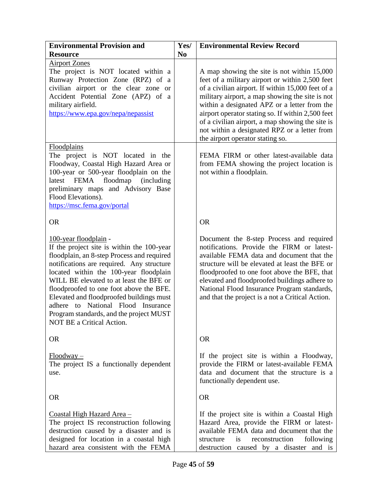| <b>Environmental Provision and</b>                                                                                                                                                                                                                                                                                                                                                                                                                       | Yes/           | <b>Environmental Review Record</b>                                                                                                                                                                                                                                                                                                                                                                                                                  |
|----------------------------------------------------------------------------------------------------------------------------------------------------------------------------------------------------------------------------------------------------------------------------------------------------------------------------------------------------------------------------------------------------------------------------------------------------------|----------------|-----------------------------------------------------------------------------------------------------------------------------------------------------------------------------------------------------------------------------------------------------------------------------------------------------------------------------------------------------------------------------------------------------------------------------------------------------|
| <b>Resource</b>                                                                                                                                                                                                                                                                                                                                                                                                                                          | N <sub>0</sub> |                                                                                                                                                                                                                                                                                                                                                                                                                                                     |
| <b>Airport Zones</b><br>The project is NOT located within a<br>Runway Protection Zone (RPZ) of a<br>civilian airport or the clear zone or<br>Accident Potential Zone (APZ) of a<br>military airfield.<br>https://www.epa.gov/nepa/nepassist                                                                                                                                                                                                              |                | A map showing the site is not within 15,000<br>feet of a military airport or within 2,500 feet<br>of a civilian airport. If within 15,000 feet of a<br>military airport, a map showing the site is not<br>within a designated APZ or a letter from the<br>airport operator stating so. If within 2,500 feet<br>of a civilian airport, a map showing the site is<br>not within a designated RPZ or a letter from<br>the airport operator stating so. |
| <b>Floodplains</b><br>The project is NOT located in the<br>Floodway, Coastal High Hazard Area or<br>100-year or 500-year floodplain on the<br>latest FEMA floodmap (including<br>preliminary maps and Advisory Base<br>Flood Elevations).<br>https://msc.fema.gov/portal                                                                                                                                                                                 |                | FEMA FIRM or other latest-available data<br>from FEMA showing the project location is<br>not within a floodplain.                                                                                                                                                                                                                                                                                                                                   |
| <b>OR</b>                                                                                                                                                                                                                                                                                                                                                                                                                                                |                | <b>OR</b>                                                                                                                                                                                                                                                                                                                                                                                                                                           |
| 100-year floodplain -<br>If the project site is within the 100-year<br>floodplain, an 8-step Process and required<br>notifications are required. Any structure<br>located within the 100-year floodplain<br>WILL BE elevated to at least the BFE or<br>floodproofed to one foot above the BFE.<br>Elevated and floodproofed buildings must<br>adhere to National Flood Insurance<br>Program standards, and the project MUST<br>NOT BE a Critical Action. |                | Document the 8-step Process and required<br>notifications. Provide the FIRM or latest-<br>available FEMA data and document that the<br>structure will be elevated at least the BFE or<br>floodproofed to one foot above the BFE, that<br>elevated and floodproofed buildings adhere to<br>National Flood Insurance Program standards,<br>and that the project is a not a Critical Action.                                                           |
| <b>OR</b>                                                                                                                                                                                                                                                                                                                                                                                                                                                |                | <b>OR</b>                                                                                                                                                                                                                                                                                                                                                                                                                                           |
| $Floodway -$<br>The project IS a functionally dependent<br>use.                                                                                                                                                                                                                                                                                                                                                                                          |                | If the project site is within a Floodway,<br>provide the FIRM or latest-available FEMA<br>data and document that the structure is a<br>functionally dependent use.                                                                                                                                                                                                                                                                                  |
| <b>OR</b>                                                                                                                                                                                                                                                                                                                                                                                                                                                |                | <b>OR</b>                                                                                                                                                                                                                                                                                                                                                                                                                                           |
| <u>Coastal High Hazard Area – </u><br>The project IS reconstruction following<br>destruction caused by a disaster and is<br>designed for location in a coastal high<br>hazard area consistent with the FEMA                                                                                                                                                                                                                                              |                | If the project site is within a Coastal High<br>Hazard Area, provide the FIRM or latest-<br>available FEMA data and document that the<br>reconstruction<br>following<br>structure<br>is<br>destruction caused by a disaster and is                                                                                                                                                                                                                  |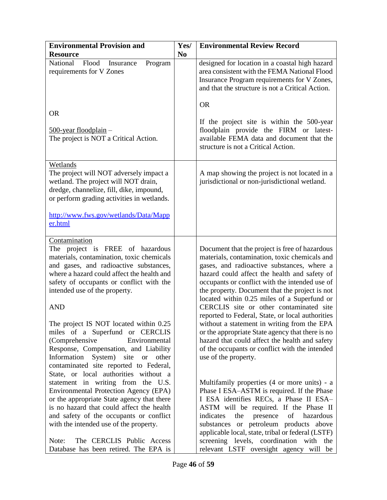| <b>Environmental Provision and</b>                                                                                                                                                                                                                                  | Yes/           | <b>Environmental Review Record</b>                                                                                                                                                                                                                                                                                                               |
|---------------------------------------------------------------------------------------------------------------------------------------------------------------------------------------------------------------------------------------------------------------------|----------------|--------------------------------------------------------------------------------------------------------------------------------------------------------------------------------------------------------------------------------------------------------------------------------------------------------------------------------------------------|
| <b>Resource</b>                                                                                                                                                                                                                                                     | N <sub>0</sub> |                                                                                                                                                                                                                                                                                                                                                  |
| National<br>Flood<br>Insurance<br>Program<br>requirements for V Zones                                                                                                                                                                                               |                | designed for location in a coastal high hazard<br>area consistent with the FEMA National Flood<br>Insurance Program requirements for V Zones,<br>and that the structure is not a Critical Action.                                                                                                                                                |
| <b>OR</b><br>$\frac{500\text{-year}}{\text{floodplain}}$<br>The project is NOT a Critical Action.                                                                                                                                                                   |                | <b>OR</b><br>If the project site is within the 500-year<br>floodplain provide the FIRM or latest-<br>available FEMA data and document that the                                                                                                                                                                                                   |
|                                                                                                                                                                                                                                                                     |                | structure is not a Critical Action.                                                                                                                                                                                                                                                                                                              |
| Wetlands<br>The project will NOT adversely impact a<br>wetland. The project will NOT drain,<br>dredge, channelize, fill, dike, impound,<br>or perform grading activities in wetlands.                                                                               |                | A map showing the project is not located in a<br>jurisdictional or non-jurisdictional wetland.                                                                                                                                                                                                                                                   |
| http://www.fws.gov/wetlands/Data/Mapp<br>er.html                                                                                                                                                                                                                    |                |                                                                                                                                                                                                                                                                                                                                                  |
| Contamination<br>The project is FREE of hazardous<br>materials, contamination, toxic chemicals<br>and gases, and radioactive substances,<br>where a hazard could affect the health and<br>safety of occupants or conflict with the<br>intended use of the property. |                | Document that the project is free of hazardous<br>materials, contamination, toxic chemicals and<br>gases, and radioactive substances, where a<br>hazard could affect the health and safety of<br>occupants or conflict with the intended use of<br>the property. Document that the project is not<br>located within 0.25 miles of a Superfund or |
| <b>AND</b>                                                                                                                                                                                                                                                          |                | CERCLIS site or other contaminated site<br>reported to Federal, State, or local authorities                                                                                                                                                                                                                                                      |
| The project IS NOT located within 0.25<br>miles of a Superfund or CERCLIS<br>(Comprehensive<br>Environmental                                                                                                                                                        |                | without a statement in writing from the EPA<br>or the appropriate State agency that there is no<br>hazard that could affect the health and safety                                                                                                                                                                                                |
| Response, Compensation, and Liability<br>Information<br>System) site or<br>other<br>contaminated site reported to Federal,                                                                                                                                          |                | of the occupants or conflict with the intended<br>use of the property.                                                                                                                                                                                                                                                                           |
| State, or local authorities without a<br>statement in writing from the U.S.<br>Environmental Protection Agency (EPA)                                                                                                                                                |                | Multifamily properties (4 or more units) - a<br>Phase I ESA-ASTM is required. If the Phase                                                                                                                                                                                                                                                       |
| or the appropriate State agency that there<br>is no hazard that could affect the health                                                                                                                                                                             |                | I ESA identifies RECs, a Phase II ESA-<br>ASTM will be required. If the Phase II                                                                                                                                                                                                                                                                 |
| and safety of the occupants or conflict                                                                                                                                                                                                                             |                | indicates<br>the<br>presence<br>of<br>hazardous                                                                                                                                                                                                                                                                                                  |
| with the intended use of the property.                                                                                                                                                                                                                              |                | substances or petroleum products above<br>applicable local, state, tribal or federal (LSTF)                                                                                                                                                                                                                                                      |
| The CERCLIS Public Access<br>Note:<br>Database has been retired. The EPA is                                                                                                                                                                                         |                | screening levels, coordination with the<br>relevant LSTF oversight agency will be                                                                                                                                                                                                                                                                |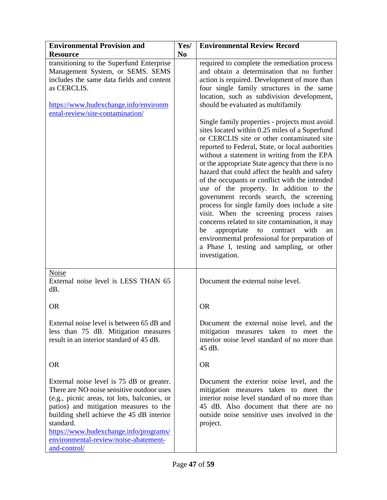| <b>Environmental Provision and</b><br><b>Resource</b>                                                                                                                                                                                                                                                                                         | Yes/<br>N <sub>0</sub> | <b>Environmental Review Record</b>                                                                                                                                                                                                                                                                                                                                                                                                                                                                                                                                                                                                                                                                                                                                                                                                                                                                                                                                                                                                                                                                  |
|-----------------------------------------------------------------------------------------------------------------------------------------------------------------------------------------------------------------------------------------------------------------------------------------------------------------------------------------------|------------------------|-----------------------------------------------------------------------------------------------------------------------------------------------------------------------------------------------------------------------------------------------------------------------------------------------------------------------------------------------------------------------------------------------------------------------------------------------------------------------------------------------------------------------------------------------------------------------------------------------------------------------------------------------------------------------------------------------------------------------------------------------------------------------------------------------------------------------------------------------------------------------------------------------------------------------------------------------------------------------------------------------------------------------------------------------------------------------------------------------------|
| transitioning to the Superfund Enterprise<br>Management System, or SEMS. SEMS<br>includes the same data fields and content<br>as CERCLIS.<br>https://www.hudexchange.info/environm<br>ental-review/site-contamination/                                                                                                                        |                        | required to complete the remediation process<br>and obtain a determination that no further<br>action is required. Development of more than<br>four single family structures in the same<br>location, such as subdivision development,<br>should be evaluated as multifamily<br>Single family properties - projects must avoid<br>sites located within 0.25 miles of a Superfund<br>or CERCLIS site or other contaminated site<br>reported to Federal, State, or local authorities<br>without a statement in writing from the EPA<br>or the appropriate State agency that there is no<br>hazard that could affect the health and safety<br>of the occupants or conflict with the intended<br>use of the property. In addition to the<br>government records search, the screening<br>process for single family does include a site<br>visit. When the screening process raises<br>concerns related to site contamination, it may<br>contract<br>with<br>appropriate<br>be<br>to<br>an<br>environmental professional for preparation of<br>a Phase I, testing and sampling, or other<br>investigation. |
| <b>Noise</b><br>External noise level is LESS THAN 65<br>dB.                                                                                                                                                                                                                                                                                   |                        | Document the external noise level.                                                                                                                                                                                                                                                                                                                                                                                                                                                                                                                                                                                                                                                                                                                                                                                                                                                                                                                                                                                                                                                                  |
| <b>OR</b>                                                                                                                                                                                                                                                                                                                                     |                        | <b>OR</b>                                                                                                                                                                                                                                                                                                                                                                                                                                                                                                                                                                                                                                                                                                                                                                                                                                                                                                                                                                                                                                                                                           |
| External noise level is between 65 dB and<br>less than 75 dB. Mitigation measures<br>result in an interior standard of 45 dB.                                                                                                                                                                                                                 |                        | Document the external noise level, and the<br>mitigation measures taken to meet the<br>interior noise level standard of no more than<br>45 dB.                                                                                                                                                                                                                                                                                                                                                                                                                                                                                                                                                                                                                                                                                                                                                                                                                                                                                                                                                      |
| <b>OR</b>                                                                                                                                                                                                                                                                                                                                     |                        | <b>OR</b>                                                                                                                                                                                                                                                                                                                                                                                                                                                                                                                                                                                                                                                                                                                                                                                                                                                                                                                                                                                                                                                                                           |
| External noise level is 75 dB or greater.<br>There are NO noise sensitive outdoor uses<br>(e.g., picnic areas, tot lots, balconies, or<br>patios) and mitigation measures to the<br>building shell achieve the 45 dB interior<br>standard.<br>https://www.hudexchange.info/programs/<br>environmental-review/noise-abatement-<br>and-control/ |                        | Document the exterior noise level, and the<br>mitigation measures taken to meet the<br>interior noise level standard of no more than<br>45 dB. Also document that there are no<br>outside noise sensitive uses involved in the<br>project.                                                                                                                                                                                                                                                                                                                                                                                                                                                                                                                                                                                                                                                                                                                                                                                                                                                          |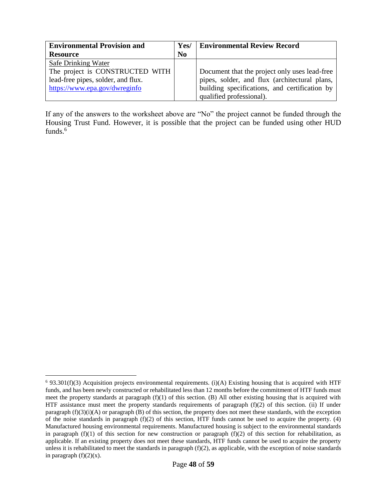| <b>Environmental Provision and</b> | Yes/           | <b>Environmental Review Record</b>            |
|------------------------------------|----------------|-----------------------------------------------|
| <b>Resource</b>                    | N <sub>0</sub> |                                               |
| Safe Drinking Water                |                |                                               |
| The project is CONSTRUCTED WITH    |                | Document that the project only uses lead-free |
| lead-free pipes, solder, and flux. |                | pipes, solder, and flux (architectural plans, |
| https://www.epa.gov/dwreginfo      |                | building specifications, and certification by |
|                                    |                | qualified professional).                      |

If any of the answers to the worksheet above are "No" the project cannot be funded through the Housing Trust Fund. However, it is possible that the project can be funded using other HUD funds.<sup>6</sup>

 $\overline{a}$ 

 $6$  93.301(f)(3) Acquisition projects environmental requirements. (i)(A) Existing housing that is acquired with HTF funds, and has been newly constructed or rehabilitated less than 12 months before the commitment of HTF funds must meet the property standards at paragraph  $(f)(1)$  of this section. (B) All other existing housing that is acquired with HTF assistance must meet the property standards requirements of paragraph (f)(2) of this section. (ii) If under paragraph  $(f)(3)(i)(A)$  or paragraph  $(B)$  of this section, the property does not meet these standards, with the exception of the noise standards in paragraph (f)(2) of this section, HTF funds cannot be used to acquire the property. (4) Manufactured housing environmental requirements. Manufactured housing is subject to the environmental standards in paragraph  $(f)(1)$  of this section for new construction or paragraph  $(f)(2)$  of this section for rehabilitation, as applicable. If an existing property does not meet these standards, HTF funds cannot be used to acquire the property unless it is rehabilitated to meet the standards in paragraph  $(f)(2)$ , as applicable, with the exception of noise standards in paragraph  $(f)(2)(x)$ .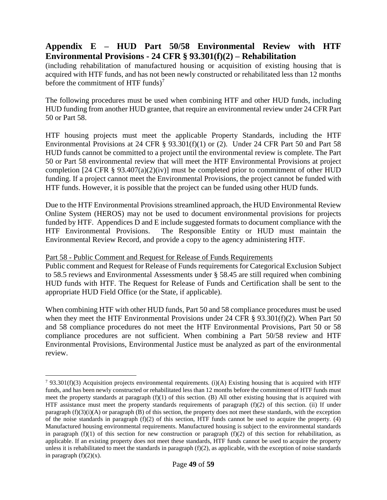## <span id="page-48-0"></span>**Appendix E – HUD Part 50/58 Environmental Review with HTF Environmental Provisions - 24 CFR § 93.301(f)(2) – Rehabilitation**

(including rehabilitation of manufactured housing or acquisition of existing housing that is acquired with HTF funds, and has not been newly constructed or rehabilitated less than 12 months before the commitment of HTF funds)<sup>7</sup>

The following procedures must be used when combining HTF and other HUD funds, including HUD funding from another HUD grantee, that require an environmental review under 24 CFR Part 50 or Part 58.

HTF housing projects must meet the applicable Property Standards, including the HTF Environmental Provisions at 24 CFR § 93.301(f)(1) or (2). Under 24 CFR Part 50 and Part 58 HUD funds cannot be committed to a project until the environmental review is complete. The Part 50 or Part 58 environmental review that will meet the HTF Environmental Provisions at project completion [24 CFR  $\S$  93.407(a)(2)(iv)] must be completed prior to commitment of other HUD funding. If a project cannot meet the Environmental Provisions, the project cannot be funded with HTF funds. However, it is possible that the project can be funded using other HUD funds.

Due to the HTF Environmental Provisions streamlined approach, the HUD Environmental Review Online System (HEROS) may not be used to document environmental provisions for projects funded by HTF. Appendices D and E include suggested formats to document compliance with the HTF Environmental Provisions. The Responsible Entity or HUD must maintain the Environmental Review Record, and provide a copy to the agency administering HTF.

#### Part 58 - Public Comment and Request for Release of Funds Requirements

 $\overline{a}$ 

Public comment and Request for Release of Funds requirements for Categorical Exclusion Subject to 58.5 reviews and Environmental Assessments under § 58.45 are still required when combining HUD funds with HTF. The Request for Release of Funds and Certification shall be sent to the appropriate HUD Field Office (or the State, if applicable).

When combining HTF with other HUD funds, Part 50 and 58 compliance procedures must be used when they meet the HTF Environmental Provisions under 24 CFR § 93.301(f)(2). When Part 50 and 58 compliance procedures do not meet the HTF Environmental Provisions, Part 50 or 58 compliance procedures are not sufficient. When combining a Part 50/58 review and HTF Environmental Provisions, Environmental Justice must be analyzed as part of the environmental review.

<sup>&</sup>lt;sup>7</sup> 93.301(f)(3) Acquisition projects environmental requirements. (i)(A) Existing housing that is acquired with HTF funds, and has been newly constructed or rehabilitated less than 12 months before the commitment of HTF funds must meet the property standards at paragraph  $(f)(1)$  of this section. (B) All other existing housing that is acquired with HTF assistance must meet the property standards requirements of paragraph (f)(2) of this section. (ii) If under paragraph  $(f)(3)(i)(A)$  or paragraph  $(B)$  of this section, the property does not meet these standards, with the exception of the noise standards in paragraph  $(f)(2)$  of this section, HTF funds cannot be used to acquire the property. (4) Manufactured housing environmental requirements. Manufactured housing is subject to the environmental standards in paragraph  $(f)(1)$  of this section for new construction or paragraph  $(f)(2)$  of this section for rehabilitation, as applicable. If an existing property does not meet these standards, HTF funds cannot be used to acquire the property unless it is rehabilitated to meet the standards in paragraph  $(f)(2)$ , as applicable, with the exception of noise standards in paragraph  $(f)(2)(x)$ .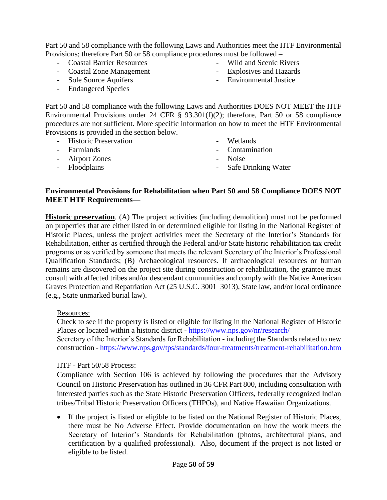Part 50 and 58 compliance with the following Laws and Authorities meet the HTF Environmental Provisions; therefore Part 50 or 58 compliance procedures must be followed –

- Coastal Barrier Resources
- Coastal Zone Management
- Sole Source Aquifers
- Endangered Species
- Wild and Scenic Rivers
- Explosives and Hazards
- Environmental Justice

Part 50 and 58 compliance with the following Laws and Authorities DOES NOT MEET the HTF Environmental Provisions under 24 CFR § 93.301(f)(2); therefore, Part 50 or 58 compliance procedures are not sufficient. More specific information on how to meet the HTF Environmental Provisions is provided in the section below.

- Historic Preservation
- Farmlands
- Airport Zones
- Floodplains
- Wetlands
- Contamination
- Noise
- Safe Drinking Water

#### **Environmental Provisions for Rehabilitation when Part 50 and 58 Compliance DOES NOT MEET HTF Requirements—**

**Historic preservation.** (A) The project activities (including demolition) must not be performed on properties that are either listed in or determined eligible for listing in the National Register of Historic Places, unless the project activities meet the Secretary of the Interior's Standards for Rehabilitation, either as certified through the Federal and/or State historic rehabilitation tax credit programs or as verified by someone that meets the relevant Secretary of the Interior's Professional Qualification Standards; (B) Archaeological resources. If archaeological resources or human remains are discovered on the project site during construction or rehabilitation, the grantee must consult with affected tribes and/or descendant communities and comply with the Native American Graves Protection and Repatriation Act (25 U.S.C. 3001–3013), State law, and/or local ordinance (e.g., State unmarked burial law).

#### Resources:

Check to see if the property is listed or eligible for listing in the National Register of Historic Places or located within a historic district - <https://www.nps.gov/nr/research/>

Secretary of the Interior's Standards for Rehabilitation - including the Standards related to new construction - <https://www.nps.gov/tps/standards/four-treatments/treatment-rehabilitation.htm>

## HTF - Part 50/58 Process:

Compliance with Section 106 is achieved by following the procedures that the Advisory Council on Historic Preservation has outlined in 36 CFR Part 800, including consultation with interested parties such as the State Historic Preservation Officers, federally recognized Indian tribes/Tribal Historic Preservation Officers (THPOs), and Native Hawaiian Organizations.

 If the project is listed or eligible to be listed on the National Register of Historic Places, there must be No Adverse Effect. Provide documentation on how the work meets the Secretary of Interior's Standards for Rehabilitation (photos, architectural plans, and certification by a qualified professional). Also, document if the project is not listed or eligible to be listed.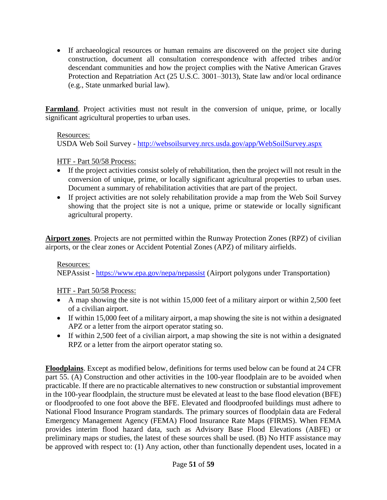• If archaeological resources or human remains are discovered on the project site during construction, document all consultation correspondence with affected tribes and/or descendant communities and how the project complies with the Native American Graves Protection and Repatriation Act (25 U.S.C. 3001–3013), State law and/or local ordinance (e.g., State unmarked burial law).

**Farmland**. Project activities must not result in the conversion of unique, prime, or locally significant agricultural properties to urban uses.

#### Resources:

USDA Web Soil Survey - <http://websoilsurvey.nrcs.usda.gov/app/WebSoilSurvey.aspx>

#### HTF - Part 50/58 Process:

- If the project activities consist solely of rehabilitation, then the project will not result in the conversion of unique, prime, or locally significant agricultural properties to urban uses. Document a summary of rehabilitation activities that are part of the project.
- If project activities are not solely rehabilitation provide a map from the Web Soil Survey showing that the project site is not a unique, prime or statewide or locally significant agricultural property.

**Airport zones**. Projects are not permitted within the Runway Protection Zones (RPZ) of civilian airports, or the clear zones or Accident Potential Zones (APZ) of military airfields.

#### Resources:

NEPAssist - <https://www.epa.gov/nepa/nepassist> (Airport polygons under Transportation)

HTF - Part 50/58 Process:

- A map showing the site is not within 15,000 feet of a military airport or within 2,500 feet of a civilian airport.
- If within 15,000 feet of a military airport, a map showing the site is not within a designated APZ or a letter from the airport operator stating so.
- If within 2,500 feet of a civilian airport, a map showing the site is not within a designated RPZ or a letter from the airport operator stating so.

**Floodplains**. Except as modified below, definitions for terms used below can be found at 24 CFR part 55. (A) Construction and other activities in the 100-year floodplain are to be avoided when practicable. If there are no practicable alternatives to new construction or substantial improvement in the 100-year floodplain, the structure must be elevated at least to the base flood elevation (BFE) or floodproofed to one foot above the BFE. Elevated and floodproofed buildings must adhere to National Flood Insurance Program standards. The primary sources of floodplain data are Federal Emergency Management Agency (FEMA) Flood Insurance Rate Maps (FIRMS). When FEMA provides interim flood hazard data, such as Advisory Base Flood Elevations (ABFE) or preliminary maps or studies, the latest of these sources shall be used. (B) No HTF assistance may be approved with respect to: (1) Any action, other than functionally dependent uses, located in a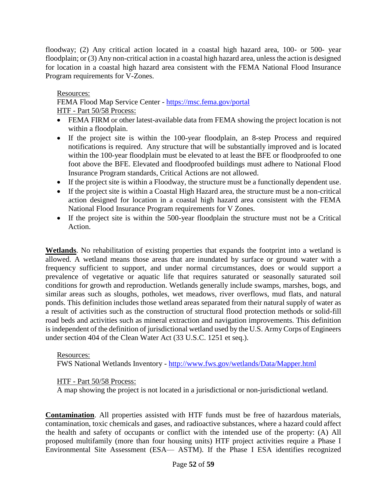floodway; (2) Any critical action located in a coastal high hazard area, 100- or 500- year floodplain; or (3) Any non-critical action in a coastal high hazard area, unless the action is designed for location in a coastal high hazard area consistent with the FEMA National Flood Insurance Program requirements for V-Zones.

#### Resources:

FEMA Flood Map Service Center - <https://msc.fema.gov/portal> HTF - Part 50/58 Process:

- FEMA FIRM or other latest-available data from FEMA showing the project location is not within a floodplain.
- If the project site is within the 100-year floodplain, an 8-step Process and required notifications is required. Any structure that will be substantially improved and is located within the 100-year floodplain must be elevated to at least the BFE or floodproofed to one foot above the BFE. Elevated and floodproofed buildings must adhere to National Flood Insurance Program standards, Critical Actions are not allowed.
- If the project site is within a Floodway, the structure must be a functionally dependent use.
- If the project site is within a Coastal High Hazard area, the structure must be a non-critical action designed for location in a coastal high hazard area consistent with the FEMA National Flood Insurance Program requirements for V Zones.
- If the project site is within the 500-year floodplain the structure must not be a Critical Action.

**Wetlands**. No rehabilitation of existing properties that expands the footprint into a wetland is allowed. A wetland means those areas that are inundated by surface or ground water with a frequency sufficient to support, and under normal circumstances, does or would support a prevalence of vegetative or aquatic life that requires saturated or seasonally saturated soil conditions for growth and reproduction. Wetlands generally include swamps, marshes, bogs, and similar areas such as sloughs, potholes, wet meadows, river overflows, mud flats, and natural ponds. This definition includes those wetland areas separated from their natural supply of water as a result of activities such as the construction of structural flood protection methods or solid-fill road beds and activities such as mineral extraction and navigation improvements. This definition is independent of the definition of jurisdictional wetland used by the U.S. Army Corps of Engineers under section 404 of the Clean Water Act (33 U.S.C. 1251 et seq.).

#### Resources:

FWS National Wetlands Inventory - <http://www.fws.gov/wetlands/Data/Mapper.html>

#### HTF - Part 50/58 Process:

A map showing the project is not located in a jurisdictional or non-jurisdictional wetland.

**Contamination**. All properties assisted with HTF funds must be free of hazardous materials, contamination, toxic chemicals and gases, and radioactive substances, where a hazard could affect the health and safety of occupants or conflict with the intended use of the property: (A) All proposed multifamily (more than four housing units) HTF project activities require a Phase I Environmental Site Assessment (ESA— ASTM). If the Phase I ESA identifies recognized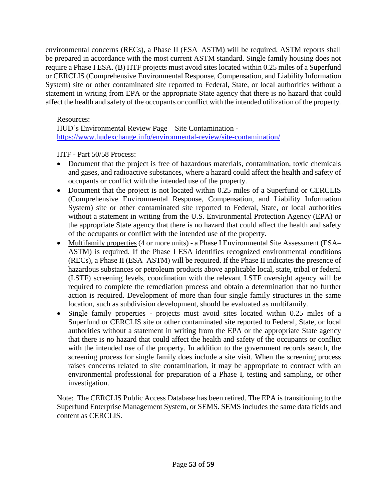environmental concerns (RECs), a Phase II (ESA–ASTM) will be required. ASTM reports shall be prepared in accordance with the most current ASTM standard. Single family housing does not require a Phase I ESA. (B) HTF projects must avoid sites located within 0.25 miles of a Superfund or CERCLIS (Comprehensive Environmental Response, Compensation, and Liability Information System) site or other contaminated site reported to Federal, State, or local authorities without a statement in writing from EPA or the appropriate State agency that there is no hazard that could affect the health and safety of the occupants or conflict with the intended utilization of the property.

#### Resources:

HUD's Environmental Review Page – Site Contamination <https://www.hudexchange.info/environmental-review/site-contamination/>

#### HTF - Part 50/58 Process:

- Document that the project is free of hazardous materials, contamination, toxic chemicals and gases, and radioactive substances, where a hazard could affect the health and safety of occupants or conflict with the intended use of the property.
- Document that the project is not located within 0.25 miles of a Superfund or CERCLIS (Comprehensive Environmental Response, Compensation, and Liability Information System) site or other contaminated site reported to Federal, State, or local authorities without a statement in writing from the U.S. Environmental Protection Agency (EPA) or the appropriate State agency that there is no hazard that could affect the health and safety of the occupants or conflict with the intended use of the property.
- Multifamily properties (4 or more units) a Phase I Environmental Site Assessment (ESA– ASTM) is required. If the Phase I ESA identifies recognized environmental conditions (RECs), a Phase II (ESA–ASTM) will be required. If the Phase II indicates the presence of hazardous substances or petroleum products above applicable local, state, tribal or federal (LSTF) screening levels, coordination with the relevant LSTF oversight agency will be required to complete the remediation process and obtain a determination that no further action is required. Development of more than four single family structures in the same location, such as subdivision development, should be evaluated as multifamily.
- Single family properties projects must avoid sites located within 0.25 miles of a Superfund or CERCLIS site or other contaminated site reported to Federal, State, or local authorities without a statement in writing from the EPA or the appropriate State agency that there is no hazard that could affect the health and safety of the occupants or conflict with the intended use of the property. In addition to the government records search, the screening process for single family does include a site visit. When the screening process raises concerns related to site contamination, it may be appropriate to contract with an environmental professional for preparation of a Phase I, testing and sampling, or other investigation.

Note: The CERCLIS Public Access Database has been retired. The EPA is transitioning to the Superfund Enterprise Management System, or SEMS. SEMS includes the same data fields and content as CERCLIS.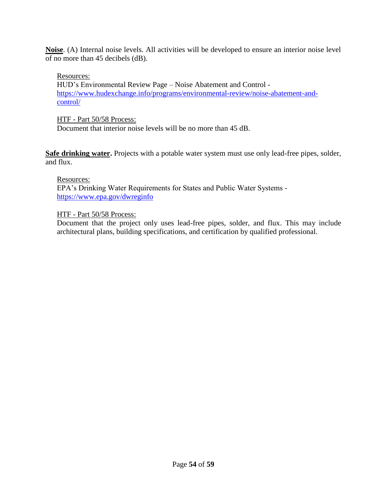**Noise**. (A) Internal noise levels. All activities will be developed to ensure an interior noise level of no more than 45 decibels (dB).

#### Resources:

HUD's Environmental Review Page – Noise Abatement and Control [https://www.hudexchange.info/programs/environmental-review/noise-abatement-and](https://www.hudexchange.info/programs/environmental-review/noise-abatement-and-control/)[control/](https://www.hudexchange.info/programs/environmental-review/noise-abatement-and-control/)

#### HTF - Part 50/58 Process:

Document that interior noise levels will be no more than 45 dB.

**Safe drinking water.** Projects with a potable water system must use only lead-free pipes, solder, and flux.

#### Resources:

EPA's Drinking Water Requirements for States and Public Water Systems <https://www.epa.gov/dwreginfo>

#### HTF - Part 50/58 Process:

Document that the project only uses lead-free pipes, solder, and flux. This may include architectural plans, building specifications, and certification by qualified professional.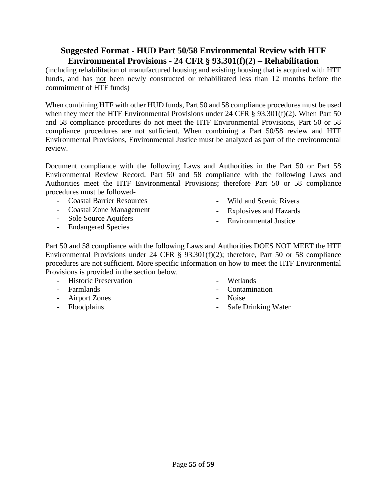## <span id="page-54-0"></span>**Suggested Format - HUD Part 50/58 Environmental Review with HTF Environmental Provisions - 24 CFR § 93.301(f)(2) – Rehabilitation**

(including rehabilitation of manufactured housing and existing housing that is acquired with HTF funds, and has not been newly constructed or rehabilitated less than 12 months before the commitment of HTF funds)

When combining HTF with other HUD funds, Part 50 and 58 compliance procedures must be used when they meet the HTF Environmental Provisions under 24 CFR § 93.301(f)(2). When Part 50 and 58 compliance procedures do not meet the HTF Environmental Provisions, Part 50 or 58 compliance procedures are not sufficient. When combining a Part 50/58 review and HTF Environmental Provisions, Environmental Justice must be analyzed as part of the environmental review.

Document compliance with the following Laws and Authorities in the Part 50 or Part 58 Environmental Review Record. Part 50 and 58 compliance with the following Laws and Authorities meet the HTF Environmental Provisions; therefore Part 50 or 58 compliance procedures must be followed-

- Coastal Barrier Resources
- Coastal Zone Management
- Sole Source Aquifers
- Endangered Species
- Wild and Scenic Rivers
- Explosives and Hazards
- Environmental Justice

Part 50 and 58 compliance with the following Laws and Authorities DOES NOT MEET the HTF Environmental Provisions under 24 CFR § 93.301(f)(2); therefore, Part 50 or 58 compliance procedures are not sufficient. More specific information on how to meet the HTF Environmental Provisions is provided in the section below.

- Historic Preservation
- Farmlands
- Airport Zones
- Floodplains
- Wetlands
- Contamination
- Noise
- Safe Drinking Water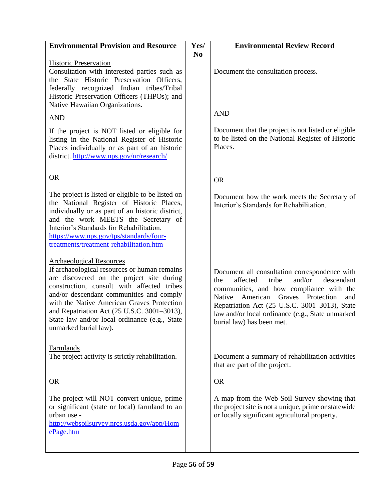| <b>Environmental Provision and Resource</b>                                                                                                                                                                                                                                                                                                                                                   | Yes/<br>N <sub>0</sub> | <b>Environmental Review Record</b>                                                                                                                                                                                                                                                                                                          |
|-----------------------------------------------------------------------------------------------------------------------------------------------------------------------------------------------------------------------------------------------------------------------------------------------------------------------------------------------------------------------------------------------|------------------------|---------------------------------------------------------------------------------------------------------------------------------------------------------------------------------------------------------------------------------------------------------------------------------------------------------------------------------------------|
| <b>Historic Preservation</b><br>Consultation with interested parties such as<br>the State Historic Preservation Officers,<br>federally recognized Indian tribes/Tribal<br>Historic Preservation Officers (THPOs); and<br>Native Hawaiian Organizations.                                                                                                                                       |                        | Document the consultation process.                                                                                                                                                                                                                                                                                                          |
| <b>AND</b>                                                                                                                                                                                                                                                                                                                                                                                    |                        | <b>AND</b>                                                                                                                                                                                                                                                                                                                                  |
| If the project is NOT listed or eligible for<br>listing in the National Register of Historic<br>Places individually or as part of an historic<br>district. http://www.nps.gov/nr/research/                                                                                                                                                                                                    |                        | Document that the project is not listed or eligible<br>to be listed on the National Register of Historic<br>Places.                                                                                                                                                                                                                         |
| <b>OR</b>                                                                                                                                                                                                                                                                                                                                                                                     |                        | <b>OR</b>                                                                                                                                                                                                                                                                                                                                   |
| The project is listed or eligible to be listed on<br>the National Register of Historic Places,<br>individually or as part of an historic district,<br>and the work MEETS the Secretary of<br>Interior's Standards for Rehabilitation.<br>https://www.nps.gov/tps/standards/four-<br>treatments/treatment-rehabilitation.htm                                                                   |                        | Document how the work meets the Secretary of<br>Interior's Standards for Rehabilitation.                                                                                                                                                                                                                                                    |
| <b>Archaeological Resources</b><br>If archaeological resources or human remains<br>are discovered on the project site during<br>construction, consult with affected tribes<br>and/or descendant communities and comply<br>with the Native American Graves Protection<br>and Repatriation Act (25 U.S.C. 3001-3013),<br>State law and/or local ordinance (e.g., State<br>unmarked burial law). |                        | Document all consultation correspondence with<br>affected<br>tribe<br>and/or<br>descendant<br>the<br>communities, and how compliance with the<br><b>Native</b><br>American<br>Graves<br>Protection<br>and<br>Repatriation Act (25 U.S.C. 3001-3013), State<br>law and/or local ordinance (e.g., State unmarked<br>burial law) has been met. |
| Farmlands<br>The project activity is strictly rehabilitation.                                                                                                                                                                                                                                                                                                                                 |                        | Document a summary of rehabilitation activities<br>that are part of the project.                                                                                                                                                                                                                                                            |
| <b>OR</b>                                                                                                                                                                                                                                                                                                                                                                                     |                        | <b>OR</b>                                                                                                                                                                                                                                                                                                                                   |
| The project will NOT convert unique, prime<br>or significant (state or local) farmland to an<br>urban use -<br>http://websoilsurvey.nrcs.usda.gov/app/Hom<br>ePage.htm                                                                                                                                                                                                                        |                        | A map from the Web Soil Survey showing that<br>the project site is not a unique, prime or statewide<br>or locally significant agricultural property.                                                                                                                                                                                        |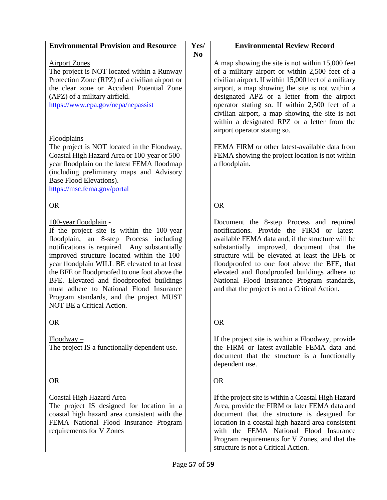| <b>Environmental Provision and Resource</b>                                                                                                                                                                                                                                                                                                                                                                                                                                                | Yes/<br>N <sub>0</sub> | <b>Environmental Review Record</b>                                                                                                                                                                                                                                                                                                                                                                                                                  |
|--------------------------------------------------------------------------------------------------------------------------------------------------------------------------------------------------------------------------------------------------------------------------------------------------------------------------------------------------------------------------------------------------------------------------------------------------------------------------------------------|------------------------|-----------------------------------------------------------------------------------------------------------------------------------------------------------------------------------------------------------------------------------------------------------------------------------------------------------------------------------------------------------------------------------------------------------------------------------------------------|
| <b>Airport Zones</b><br>The project is NOT located within a Runway<br>Protection Zone (RPZ) of a civilian airport or<br>the clear zone or Accident Potential Zone<br>(APZ) of a military airfield.<br>https://www.epa.gov/nepa/nepassist                                                                                                                                                                                                                                                   |                        | A map showing the site is not within 15,000 feet<br>of a military airport or within 2,500 feet of a<br>civilian airport. If within 15,000 feet of a military<br>airport, a map showing the site is not within a<br>designated APZ or a letter from the airport<br>operator stating so. If within 2,500 feet of a<br>civilian airport, a map showing the site is not<br>within a designated RPZ or a letter from the<br>airport operator stating so. |
| Floodplains<br>The project is NOT located in the Floodway,<br>Coastal High Hazard Area or 100-year or 500-<br>year floodplain on the latest FEMA floodmap<br>(including preliminary maps and Advisory<br>Base Flood Elevations).<br>https://msc.fema.gov/portal                                                                                                                                                                                                                            |                        | FEMA FIRM or other latest-available data from<br>FEMA showing the project location is not within<br>a floodplain.                                                                                                                                                                                                                                                                                                                                   |
| <b>OR</b>                                                                                                                                                                                                                                                                                                                                                                                                                                                                                  |                        | <b>OR</b>                                                                                                                                                                                                                                                                                                                                                                                                                                           |
| <u>100-year floodplain</u> -<br>If the project site is within the 100-year<br>floodplain, an 8-step Process including<br>notifications is required. Any substantially<br>improved structure located within the 100-<br>year floodplain WILL BE elevated to at least<br>the BFE or floodproofed to one foot above the<br>BFE. Elevated and floodproofed buildings<br>must adhere to National Flood Insurance<br>Program standards, and the project MUST<br><b>NOT BE a Critical Action.</b> |                        | Document the 8-step Process and required<br>notifications. Provide the FIRM or latest-<br>available FEMA data and, if the structure will be<br>substantially improved, document that the<br>structure will be elevated at least the BFE or<br>floodproofed to one foot above the BFE, that<br>elevated and floodproofed buildings adhere to<br>National Flood Insurance Program standards,<br>and that the project is not a Critical Action.        |
| <b>OR</b>                                                                                                                                                                                                                                                                                                                                                                                                                                                                                  |                        | <b>OR</b>                                                                                                                                                                                                                                                                                                                                                                                                                                           |
| $Floodway -$<br>The project IS a functionally dependent use.                                                                                                                                                                                                                                                                                                                                                                                                                               |                        | If the project site is within a Floodway, provide<br>the FIRM or latest-available FEMA data and<br>document that the structure is a functionally<br>dependent use.                                                                                                                                                                                                                                                                                  |
| <b>OR</b>                                                                                                                                                                                                                                                                                                                                                                                                                                                                                  |                        | <b>OR</b>                                                                                                                                                                                                                                                                                                                                                                                                                                           |
| <u>Coastal High Hazard Area -</u><br>The project IS designed for location in a<br>coastal high hazard area consistent with the<br>FEMA National Flood Insurance Program<br>requirements for V Zones                                                                                                                                                                                                                                                                                        |                        | If the project site is within a Coastal High Hazard<br>Area, provide the FIRM or later FEMA data and<br>document that the structure is designed for<br>location in a coastal high hazard area consistent<br>with the FEMA National Flood Insurance<br>Program requirements for V Zones, and that the<br>structure is not a Critical Action.                                                                                                         |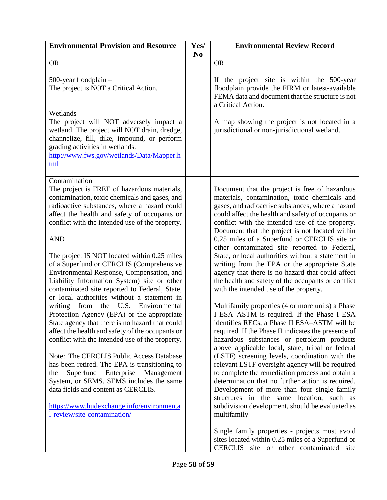| <b>Environmental Provision and Resource</b>                                                                                                                                                                                                                                                                                                                                                                                                                                                                                                                                                                                                                                                                                                                                                                                                                                                                                                                                                                                                                                                                                       | Yes/<br>N <sub>0</sub> | <b>Environmental Review Record</b>                                                                                                                                                                                                                                                                                                                                                                                                                                                                                                                                                                                                                                                                                                                                                                                                                                                                                                                                                                                                                                                                                                                                                                                                                                                                                                                                |
|-----------------------------------------------------------------------------------------------------------------------------------------------------------------------------------------------------------------------------------------------------------------------------------------------------------------------------------------------------------------------------------------------------------------------------------------------------------------------------------------------------------------------------------------------------------------------------------------------------------------------------------------------------------------------------------------------------------------------------------------------------------------------------------------------------------------------------------------------------------------------------------------------------------------------------------------------------------------------------------------------------------------------------------------------------------------------------------------------------------------------------------|------------------------|-------------------------------------------------------------------------------------------------------------------------------------------------------------------------------------------------------------------------------------------------------------------------------------------------------------------------------------------------------------------------------------------------------------------------------------------------------------------------------------------------------------------------------------------------------------------------------------------------------------------------------------------------------------------------------------------------------------------------------------------------------------------------------------------------------------------------------------------------------------------------------------------------------------------------------------------------------------------------------------------------------------------------------------------------------------------------------------------------------------------------------------------------------------------------------------------------------------------------------------------------------------------------------------------------------------------------------------------------------------------|
| <b>OR</b>                                                                                                                                                                                                                                                                                                                                                                                                                                                                                                                                                                                                                                                                                                                                                                                                                                                                                                                                                                                                                                                                                                                         |                        | <b>OR</b>                                                                                                                                                                                                                                                                                                                                                                                                                                                                                                                                                                                                                                                                                                                                                                                                                                                                                                                                                                                                                                                                                                                                                                                                                                                                                                                                                         |
| $\frac{500\text{-year}}{\text{floodplain}}$<br>The project is NOT a Critical Action.                                                                                                                                                                                                                                                                                                                                                                                                                                                                                                                                                                                                                                                                                                                                                                                                                                                                                                                                                                                                                                              |                        | If the project site is within the 500-year<br>floodplain provide the FIRM or latest-available<br>FEMA data and document that the structure is not<br>a Critical Action.                                                                                                                                                                                                                                                                                                                                                                                                                                                                                                                                                                                                                                                                                                                                                                                                                                                                                                                                                                                                                                                                                                                                                                                           |
| Wetlands<br>The project will NOT adversely impact a<br>wetland. The project will NOT drain, dredge,<br>channelize, fill, dike, impound, or perform<br>grading activities in wetlands.<br>http://www.fws.gov/wetlands/Data/Mapper.h<br>tml                                                                                                                                                                                                                                                                                                                                                                                                                                                                                                                                                                                                                                                                                                                                                                                                                                                                                         |                        | A map showing the project is not located in a<br>jurisdictional or non-jurisdictional wetland.                                                                                                                                                                                                                                                                                                                                                                                                                                                                                                                                                                                                                                                                                                                                                                                                                                                                                                                                                                                                                                                                                                                                                                                                                                                                    |
| Contamination<br>The project is FREE of hazardous materials,<br>contamination, toxic chemicals and gases, and<br>radioactive substances, where a hazard could<br>affect the health and safety of occupants or<br>conflict with the intended use of the property.<br><b>AND</b><br>The project IS NOT located within 0.25 miles<br>of a Superfund or CERCLIS (Comprehensive<br>Environmental Response, Compensation, and<br>Liability Information System) site or other<br>contaminated site reported to Federal, State,<br>or local authorities without a statement in<br>writing<br>from<br>the U.S. Environmental<br>Protection Agency (EPA) or the appropriate<br>State agency that there is no hazard that could<br>affect the health and safety of the occupants or<br>conflict with the intended use of the property.<br>Note: The CERCLIS Public Access Database<br>has been retired. The EPA is transitioning to<br>Superfund Enterprise Management<br>the<br>System, or SEMS. SEMS includes the same<br>data fields and content as CERCLIS.<br>https://www.hudexchange.info/environmenta<br>l-review/site-contamination/ |                        | Document that the project is free of hazardous<br>materials, contamination, toxic chemicals and<br>gases, and radioactive substances, where a hazard<br>could affect the health and safety of occupants or<br>conflict with the intended use of the property.<br>Document that the project is not located within<br>0.25 miles of a Superfund or CERCLIS site or<br>other contaminated site reported to Federal,<br>State, or local authorities without a statement in<br>writing from the EPA or the appropriate State<br>agency that there is no hazard that could affect<br>the health and safety of the occupants or conflict<br>with the intended use of the property.<br>Multifamily properties (4 or more units) a Phase<br>I ESA-ASTM is required. If the Phase I ESA<br>identifies RECs, a Phase II ESA-ASTM will be<br>required. If the Phase II indicates the presence of<br>hazardous substances or petroleum products<br>above applicable local, state, tribal or federal<br>(LSTF) screening levels, coordination with the<br>relevant LSTF oversight agency will be required<br>to complete the remediation process and obtain a<br>determination that no further action is required.<br>Development of more than four single family<br>structures in the same location, such as<br>subdivision development, should be evaluated as<br>multifamily |
|                                                                                                                                                                                                                                                                                                                                                                                                                                                                                                                                                                                                                                                                                                                                                                                                                                                                                                                                                                                                                                                                                                                                   |                        | Single family properties - projects must avoid<br>sites located within 0.25 miles of a Superfund or<br>CERCLIS site or other contaminated site                                                                                                                                                                                                                                                                                                                                                                                                                                                                                                                                                                                                                                                                                                                                                                                                                                                                                                                                                                                                                                                                                                                                                                                                                    |